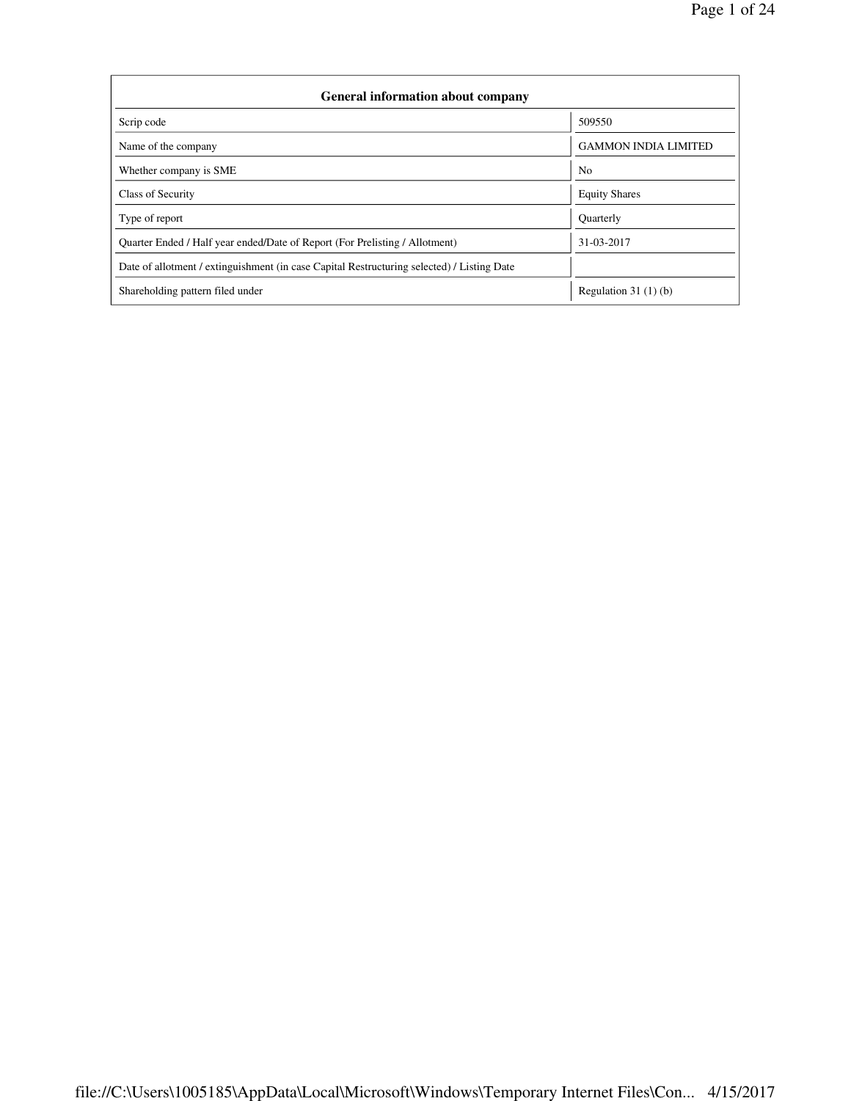| <b>General information about company</b>                                                   |                             |  |  |  |  |  |  |
|--------------------------------------------------------------------------------------------|-----------------------------|--|--|--|--|--|--|
| Scrip code                                                                                 | 509550                      |  |  |  |  |  |  |
| Name of the company                                                                        | <b>GAMMON INDIA LIMITED</b> |  |  |  |  |  |  |
| Whether company is SME                                                                     | N <sub>0</sub>              |  |  |  |  |  |  |
| Class of Security                                                                          | <b>Equity Shares</b>        |  |  |  |  |  |  |
| Type of report                                                                             | Quarterly                   |  |  |  |  |  |  |
| Quarter Ended / Half year ended/Date of Report (For Prelisting / Allotment)                | 31-03-2017                  |  |  |  |  |  |  |
| Date of allotment / extinguishment (in case Capital Restructuring selected) / Listing Date |                             |  |  |  |  |  |  |
| Shareholding pattern filed under                                                           | Regulation $31(1)(b)$       |  |  |  |  |  |  |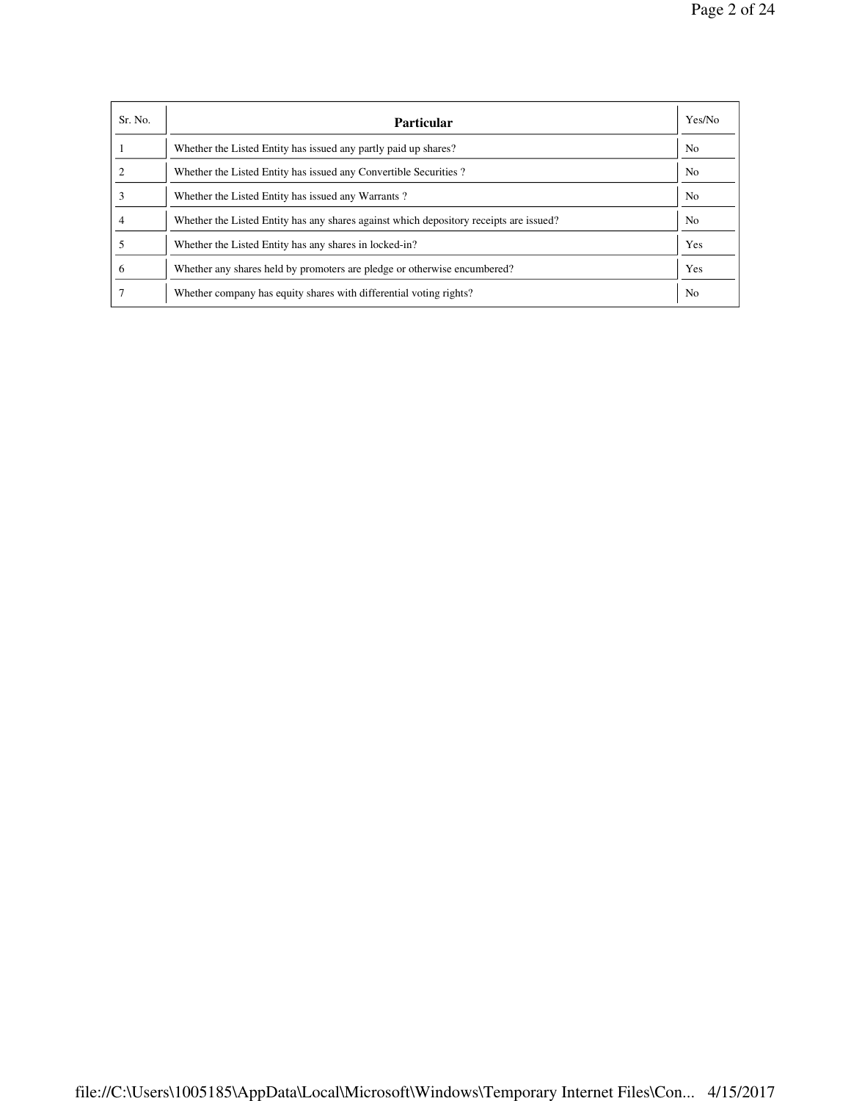| Sr. No. | <b>Particular</b>                                                                      | Yes/No         |
|---------|----------------------------------------------------------------------------------------|----------------|
|         | Whether the Listed Entity has issued any partly paid up shares?                        | N <sub>o</sub> |
|         | Whether the Listed Entity has issued any Convertible Securities?                       | N <sub>o</sub> |
|         | Whether the Listed Entity has issued any Warrants?                                     | N <sub>0</sub> |
|         | Whether the Listed Entity has any shares against which depository receipts are issued? | N <sub>0</sub> |
|         | Whether the Listed Entity has any shares in locked-in?                                 | Yes            |
| 6       | Whether any shares held by promoters are pledge or otherwise encumbered?               | Yes            |
|         | Whether company has equity shares with differential voting rights?                     | N <sub>0</sub> |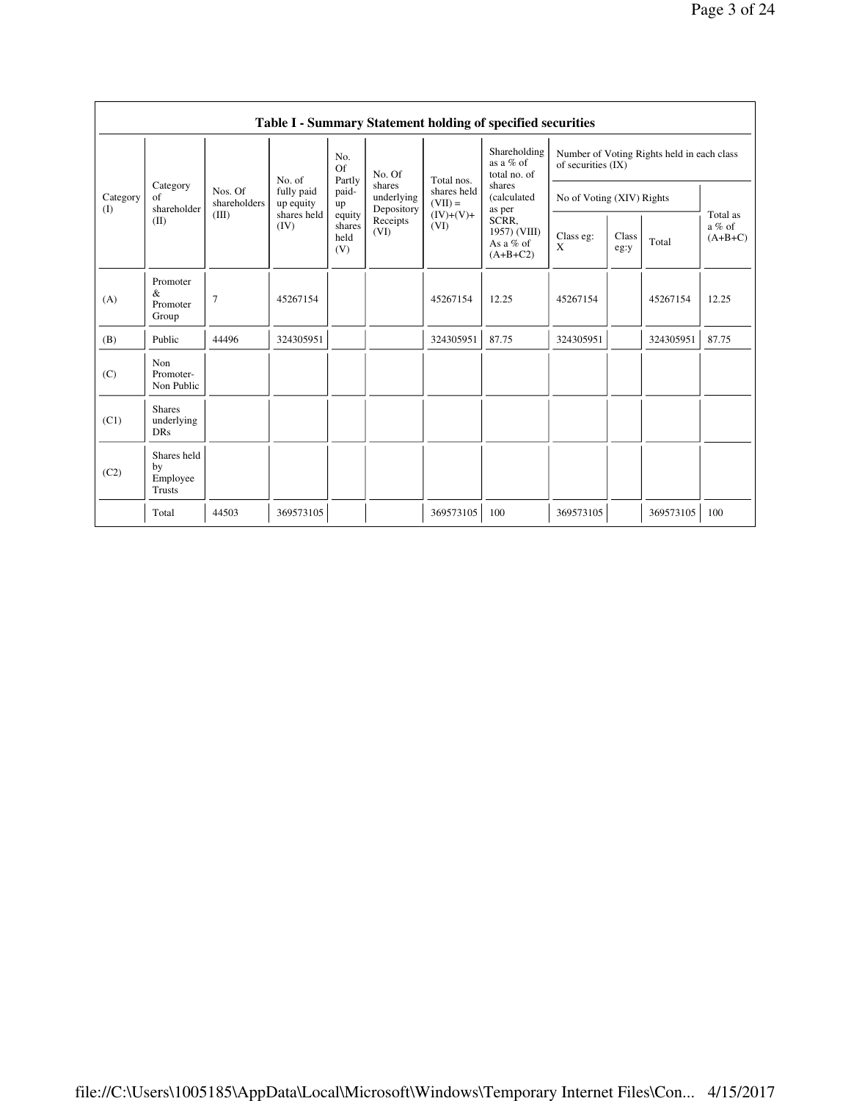|                 |                                                |                         |                         |                                 |                                    |                          | Table I - Summary Statement holding of specified securities |                                                                  |               |           |                                   |
|-----------------|------------------------------------------------|-------------------------|-------------------------|---------------------------------|------------------------------------|--------------------------|-------------------------------------------------------------|------------------------------------------------------------------|---------------|-----------|-----------------------------------|
|                 |                                                |                         | No. of                  | No.<br>Of<br>Partly             | No. Of                             | Total nos.               | Shareholding<br>as a % of<br>total no. of                   | Number of Voting Rights held in each class<br>of securities (IX) |               |           |                                   |
| Category<br>(I) | Category<br>of<br>shareholder                  | Nos. Of<br>shareholders | fully paid<br>up equity | paid-<br>up                     | shares<br>underlying<br>Depository | shares held<br>$(VII) =$ | shares<br>(calculated<br>as per                             | No of Voting (XIV) Rights                                        |               |           |                                   |
|                 | (II)                                           | (III)                   | shares held<br>(IV)     | equity<br>shares<br>held<br>(V) | Receipts<br>(VI)                   | $(IV)+(V)+$<br>(VI)      | SCRR,<br>1957) (VIII)<br>As a % of<br>$(A+B+C2)$            | Class eg:<br>X                                                   | Class<br>eg:y | Total     | Total as<br>$a\%$ of<br>$(A+B+C)$ |
| (A)             | Promoter<br>&<br>Promoter<br>Group             | $\overline{7}$          | 45267154                |                                 |                                    | 45267154                 | 12.25                                                       | 45267154                                                         |               | 45267154  | 12.25                             |
| (B)             | Public                                         | 44496                   | 324305951               |                                 |                                    | 324305951                | 87.75                                                       | 324305951                                                        |               | 324305951 | 87.75                             |
| (C)             | Non<br>Promoter-<br>Non Public                 |                         |                         |                                 |                                    |                          |                                                             |                                                                  |               |           |                                   |
| (C1)            | <b>Shares</b><br>underlying<br><b>DRs</b>      |                         |                         |                                 |                                    |                          |                                                             |                                                                  |               |           |                                   |
| (C2)            | Shares held<br>by<br>Employee<br><b>Trusts</b> |                         |                         |                                 |                                    |                          |                                                             |                                                                  |               |           |                                   |
|                 | Total                                          | 44503                   | 369573105               |                                 |                                    | 369573105                | 100                                                         | 369573105                                                        |               | 369573105 | 100                               |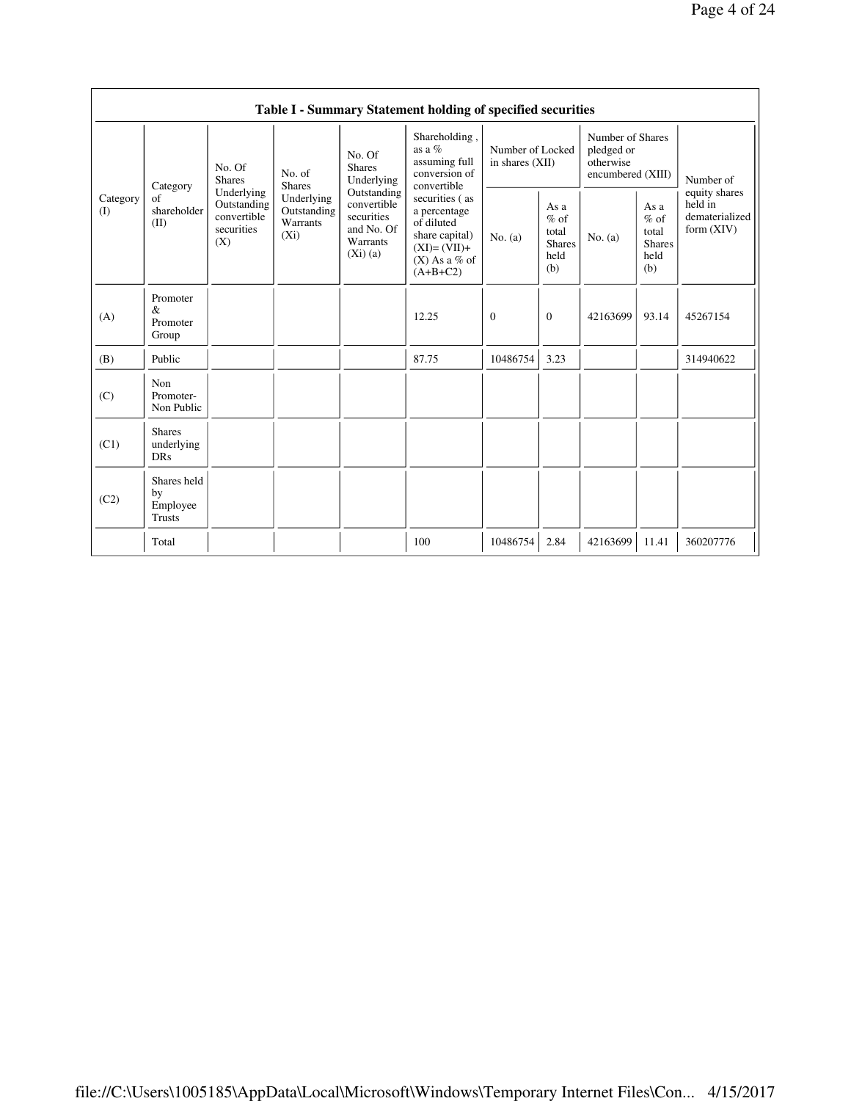|                 |                                                |                                                               |                                                  |                                                                               | Table I - Summary Statement holding of specified securities                                                      |                                     |                                                         |                                                                  |                                                         |                                                            |
|-----------------|------------------------------------------------|---------------------------------------------------------------|--------------------------------------------------|-------------------------------------------------------------------------------|------------------------------------------------------------------------------------------------------------------|-------------------------------------|---------------------------------------------------------|------------------------------------------------------------------|---------------------------------------------------------|------------------------------------------------------------|
|                 | Category                                       | No. Of<br><b>Shares</b>                                       | No. of<br><b>Shares</b>                          | No. Of<br><b>Shares</b><br>Underlying                                         | Shareholding,<br>as a $%$<br>assuming full<br>conversion of<br>convertible                                       | Number of Locked<br>in shares (XII) |                                                         | Number of Shares<br>pledged or<br>otherwise<br>encumbered (XIII) |                                                         | Number of                                                  |
| Category<br>(I) | of<br>shareholder<br>(II)                      | Underlying<br>Outstanding<br>convertible<br>securities<br>(X) | Underlying<br>Outstanding<br>Warrants<br>$(X_i)$ | Outstanding<br>convertible<br>securities<br>and No. Of<br>Warrants<br>(Xi)(a) | securities (as<br>a percentage<br>of diluted<br>share capital)<br>$(XI)=(VII)+$<br>$(X)$ As a % of<br>$(A+B+C2)$ | No. (a)                             | As a<br>$%$ of<br>total<br><b>Shares</b><br>held<br>(b) | No. $(a)$                                                        | As a<br>$%$ of<br>total<br><b>Shares</b><br>held<br>(b) | equity shares<br>held in<br>dematerialized<br>form $(XIV)$ |
| (A)             | Promoter<br>$\&$<br>Promoter<br>Group          |                                                               |                                                  |                                                                               | 12.25                                                                                                            | $\mathbf{0}$                        | $\mathbf{0}$                                            | 42163699                                                         | 93.14                                                   | 45267154                                                   |
| (B)             | Public                                         |                                                               |                                                  |                                                                               | 87.75                                                                                                            | 10486754                            | 3.23                                                    |                                                                  |                                                         | 314940622                                                  |
| (C)             | Non<br>Promoter-<br>Non Public                 |                                                               |                                                  |                                                                               |                                                                                                                  |                                     |                                                         |                                                                  |                                                         |                                                            |
| (C1)            | <b>Shares</b><br>underlying<br><b>DRs</b>      |                                                               |                                                  |                                                                               |                                                                                                                  |                                     |                                                         |                                                                  |                                                         |                                                            |
| (C2)            | Shares held<br>by<br>Employee<br><b>Trusts</b> |                                                               |                                                  |                                                                               |                                                                                                                  |                                     |                                                         |                                                                  |                                                         |                                                            |
|                 | Total                                          |                                                               |                                                  |                                                                               | 100                                                                                                              | 10486754                            | 2.84                                                    | 42163699                                                         | 11.41                                                   | 360207776                                                  |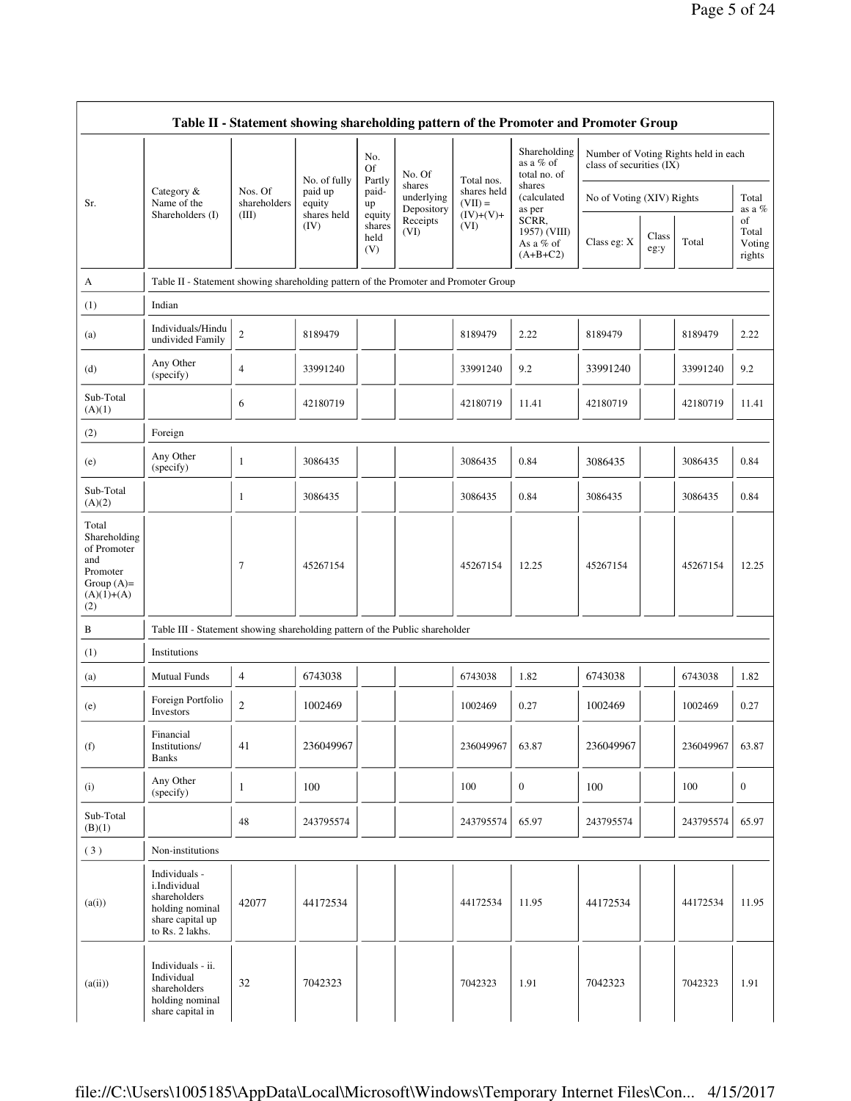|                                                                                                | Table II - Statement showing shareholding pattern of the Promoter and Promoter Group                    |                         |                                   |                                 |                                    |                                        |                                                  |                           |               |                                      |                                 |
|------------------------------------------------------------------------------------------------|---------------------------------------------------------------------------------------------------------|-------------------------|-----------------------------------|---------------------------------|------------------------------------|----------------------------------------|--------------------------------------------------|---------------------------|---------------|--------------------------------------|---------------------------------|
|                                                                                                |                                                                                                         |                         |                                   | No.<br>Of                       | No. Of                             |                                        | Shareholding<br>as a % of<br>total no. of        | class of securities (IX)  |               | Number of Voting Rights held in each |                                 |
| Sr.                                                                                            | Category &<br>Name of the                                                                               | Nos. Of<br>shareholders | No. of fully<br>paid up<br>equity | Partly<br>paid-<br>up           | shares<br>underlying<br>Depository | Total nos.<br>shares held<br>$(VII) =$ | shares<br>(calculated<br>as per                  | No of Voting (XIV) Rights |               |                                      | Total<br>as a %                 |
|                                                                                                | Shareholders (I)                                                                                        | (III)                   | shares held<br>(IV)               | equity<br>shares<br>held<br>(V) | Receipts<br>(VI)                   | $(IV)+(V)+$<br>(VI)                    | SCRR,<br>1957) (VIII)<br>As a % of<br>$(A+B+C2)$ | Class eg: X               | Class<br>eg:y | Total                                | of<br>Total<br>Voting<br>rights |
| A                                                                                              | Table II - Statement showing shareholding pattern of the Promoter and Promoter Group                    |                         |                                   |                                 |                                    |                                        |                                                  |                           |               |                                      |                                 |
| (1)                                                                                            | Indian                                                                                                  |                         |                                   |                                 |                                    |                                        |                                                  |                           |               |                                      |                                 |
| (a)                                                                                            | Individuals/Hindu<br>undivided Family                                                                   | $\boldsymbol{2}$        | 8189479                           |                                 |                                    | 8189479                                | 2.22                                             | 8189479                   |               | 8189479                              | 2.22                            |
| (d)                                                                                            | Any Other<br>(specify)                                                                                  | $\overline{4}$          | 33991240                          |                                 |                                    | 33991240                               | 9.2                                              | 33991240                  |               | 33991240                             | 9.2                             |
| Sub-Total<br>(A)(1)                                                                            |                                                                                                         | 6                       | 42180719                          |                                 |                                    | 42180719                               | 11.41                                            | 42180719                  |               | 42180719                             | 11.41                           |
| (2)                                                                                            | Foreign                                                                                                 |                         |                                   |                                 |                                    |                                        |                                                  |                           |               |                                      |                                 |
| (e)                                                                                            | Any Other<br>(specify)                                                                                  | 1                       | 3086435                           |                                 |                                    | 3086435                                | 0.84                                             | 3086435                   |               | 3086435                              | 0.84                            |
| Sub-Total<br>(A)(2)                                                                            |                                                                                                         | 1                       | 3086435                           |                                 |                                    | 3086435                                | 0.84                                             | 3086435                   |               | 3086435                              | 0.84                            |
| Total<br>Shareholding<br>of Promoter<br>and<br>Promoter<br>Group $(A)=$<br>$(A)(1)+(A)$<br>(2) |                                                                                                         | $\tau$                  | 45267154                          |                                 |                                    | 45267154                               | 12.25                                            | 45267154                  |               | 45267154                             | 12.25                           |
| B                                                                                              | Table III - Statement showing shareholding pattern of the Public shareholder                            |                         |                                   |                                 |                                    |                                        |                                                  |                           |               |                                      |                                 |
| (1)                                                                                            | Institutions                                                                                            |                         |                                   |                                 |                                    |                                        |                                                  |                           |               |                                      |                                 |
| (a)                                                                                            | <b>Mutual Funds</b>                                                                                     | $\overline{4}$          | 6743038                           |                                 |                                    | 6743038                                | 1.82                                             | 6743038                   |               | 6743038                              | 1.82                            |
| (e)                                                                                            | Foreign Portfolio<br>Investors                                                                          | $\overline{2}$          | 1002469                           |                                 |                                    | 1002469                                | 0.27                                             | 1002469                   |               | 1002469                              | 0.27                            |
| (f)                                                                                            | Financial<br>Institutions/<br><b>Banks</b>                                                              | 41                      | 236049967                         |                                 |                                    | 236049967                              | 63.87                                            | 236049967                 |               | 236049967                            | 63.87                           |
| (i)                                                                                            | Any Other<br>(specify)                                                                                  | 1                       | 100                               |                                 |                                    | 100                                    | $\boldsymbol{0}$                                 | 100                       |               | 100                                  | $\boldsymbol{0}$                |
| Sub-Total<br>(B)(1)                                                                            |                                                                                                         | 48                      | 243795574                         |                                 |                                    | 243795574                              | 65.97                                            | 243795574                 |               | 243795574                            | 65.97                           |
| (3)                                                                                            | Non-institutions                                                                                        |                         |                                   |                                 |                                    |                                        |                                                  |                           |               |                                      |                                 |
| (a(i))                                                                                         | Individuals -<br>i.Individual<br>shareholders<br>holding nominal<br>share capital up<br>to Rs. 2 lakhs. | 42077                   | 44172534                          |                                 |                                    | 44172534                               | 11.95                                            | 44172534                  |               | 44172534                             | 11.95                           |
| (a(ii))                                                                                        | Individuals - ii.<br>Individual<br>shareholders<br>holding nominal<br>share capital in                  | 32                      | 7042323                           |                                 |                                    | 7042323                                | 1.91                                             | 7042323                   |               | 7042323                              | 1.91                            |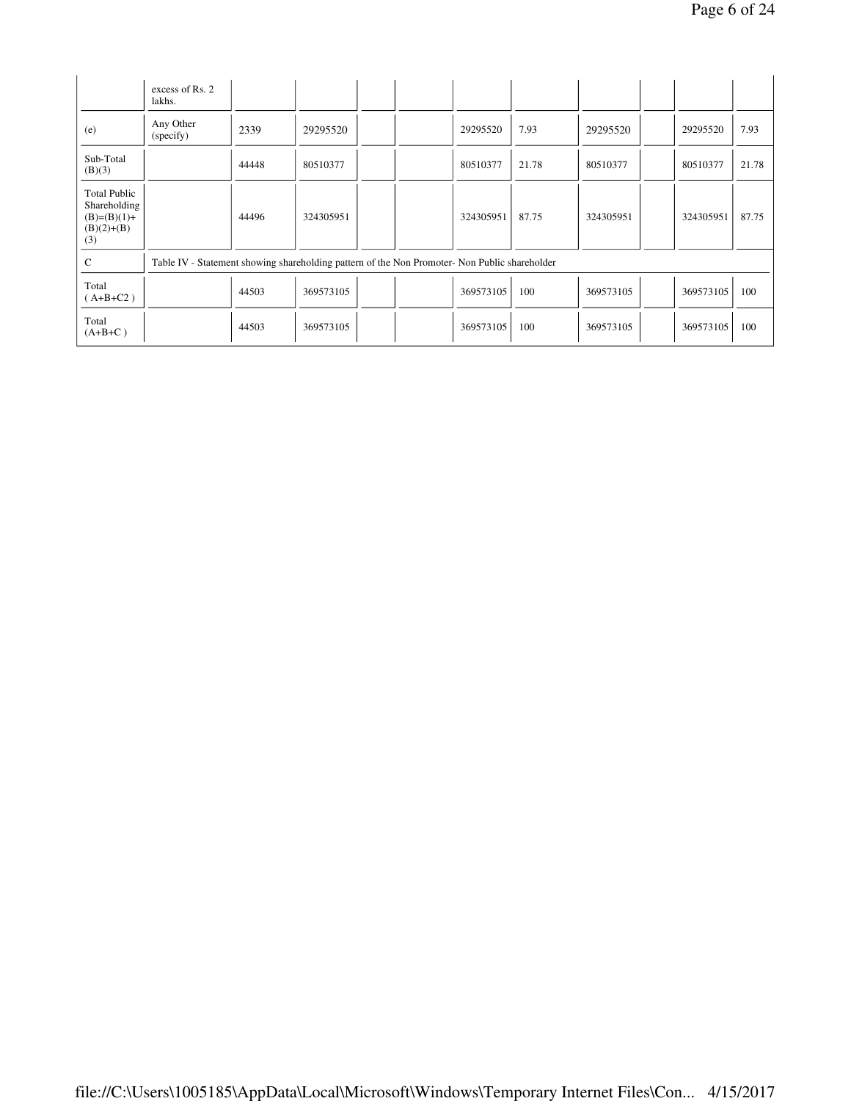|                                                                             | excess of Rs. 2<br>lakhs.                                                                     |       |           |  |           |       |           |           |       |
|-----------------------------------------------------------------------------|-----------------------------------------------------------------------------------------------|-------|-----------|--|-----------|-------|-----------|-----------|-------|
| (e)                                                                         | Any Other<br>(specify)                                                                        | 2339  | 29295520  |  | 29295520  | 7.93  | 29295520  | 29295520  | 7.93  |
| Sub-Total<br>(B)(3)                                                         |                                                                                               | 44448 | 80510377  |  | 80510377  | 21.78 | 80510377  | 80510377  | 21.78 |
| <b>Total Public</b><br>Shareholding<br>$(B)=(B)(1)+$<br>$(B)(2)+(B)$<br>(3) |                                                                                               | 44496 | 324305951 |  | 324305951 | 87.75 | 324305951 | 324305951 | 87.75 |
| $\mathsf{C}$                                                                | Table IV - Statement showing shareholding pattern of the Non Promoter- Non Public shareholder |       |           |  |           |       |           |           |       |
| Total<br>$(A+B+C2)$                                                         |                                                                                               | 44503 | 369573105 |  | 369573105 | 100   | 369573105 | 369573105 | 100   |
| Total<br>$(A+B+C)$                                                          |                                                                                               | 44503 | 369573105 |  | 369573105 | 100   | 369573105 | 369573105 | 100   |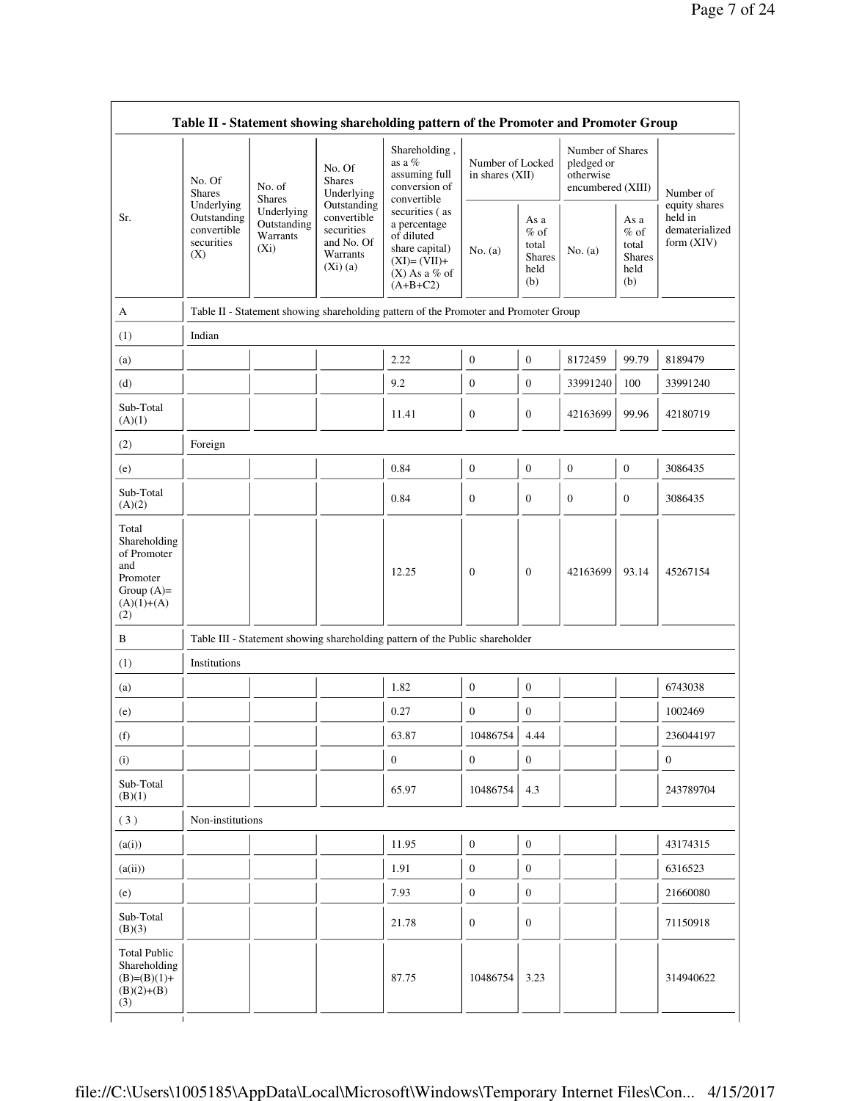|                                                                                                | No. Of<br>No. of<br><b>Shares</b><br><b>Shares</b><br>Underlying<br>Outstanding<br>convertible<br>Warrants<br>securities<br>$(X_i)$<br>(X) |                           | No. Of<br><b>Shares</b><br>Underlying<br>Outstanding              | Shareholding,<br>as a $%$<br>assuming full<br>conversion of<br>convertible                                       | Number of Locked<br>in shares (XII) |                                                         | Number of Shares<br>pledged or<br>otherwise<br>encumbered (XIII) |                                                         | Number of<br>equity shares              |
|------------------------------------------------------------------------------------------------|--------------------------------------------------------------------------------------------------------------------------------------------|---------------------------|-------------------------------------------------------------------|------------------------------------------------------------------------------------------------------------------|-------------------------------------|---------------------------------------------------------|------------------------------------------------------------------|---------------------------------------------------------|-----------------------------------------|
| Sr.                                                                                            |                                                                                                                                            | Underlying<br>Outstanding | convertible<br>securities<br>and No. Of<br>Warrants<br>$(Xi)$ (a) | securities (as<br>a percentage<br>of diluted<br>share capital)<br>$(XI)=(VII)+$<br>$(X)$ As a % of<br>$(A+B+C2)$ | No. $(a)$                           | As a<br>$%$ of<br>total<br><b>Shares</b><br>held<br>(b) | No. $(a)$                                                        | As a<br>$%$ of<br>total<br><b>Shares</b><br>held<br>(b) | held in<br>dematerialized<br>form (XIV) |
| A                                                                                              |                                                                                                                                            |                           |                                                                   | Table II - Statement showing shareholding pattern of the Promoter and Promoter Group                             |                                     |                                                         |                                                                  |                                                         |                                         |
| (1)                                                                                            | Indian                                                                                                                                     |                           |                                                                   |                                                                                                                  |                                     |                                                         |                                                                  |                                                         |                                         |
| (a)                                                                                            |                                                                                                                                            |                           |                                                                   | 2.22                                                                                                             | $\boldsymbol{0}$                    | $\mathbf{0}$                                            | 8172459                                                          | 99.79                                                   | 8189479                                 |
| (d)                                                                                            |                                                                                                                                            |                           |                                                                   | 9.2                                                                                                              | $\boldsymbol{0}$                    | $\boldsymbol{0}$                                        | 33991240                                                         | 100                                                     | 33991240                                |
| Sub-Total<br>(A)(1)                                                                            |                                                                                                                                            |                           |                                                                   | 11.41                                                                                                            | $\boldsymbol{0}$                    | $\boldsymbol{0}$                                        | 42163699                                                         | 99.96                                                   | 42180719                                |
| (2)                                                                                            | Foreign                                                                                                                                    |                           |                                                                   |                                                                                                                  |                                     |                                                         |                                                                  |                                                         |                                         |
| (e)                                                                                            |                                                                                                                                            |                           |                                                                   | 0.84                                                                                                             | $\boldsymbol{0}$                    | $\boldsymbol{0}$                                        | $\boldsymbol{0}$                                                 | $\boldsymbol{0}$                                        | 3086435                                 |
| Sub-Total<br>(A)(2)                                                                            |                                                                                                                                            |                           |                                                                   | 0.84                                                                                                             | $\boldsymbol{0}$                    | $\boldsymbol{0}$                                        | $\mathbf{0}$                                                     | $\boldsymbol{0}$                                        | 3086435                                 |
| Total<br>Shareholding<br>of Promoter<br>and<br>Promoter<br>Group $(A)=$<br>$(A)(1)+(A)$<br>(2) |                                                                                                                                            |                           |                                                                   | 12.25                                                                                                            | $\mathbf{0}$                        | $\boldsymbol{0}$                                        | 42163699                                                         | 93.14                                                   | 45267154                                |
| B                                                                                              |                                                                                                                                            |                           |                                                                   | Table III - Statement showing shareholding pattern of the Public shareholder                                     |                                     |                                                         |                                                                  |                                                         |                                         |
| (1)                                                                                            | Institutions                                                                                                                               |                           |                                                                   |                                                                                                                  |                                     |                                                         |                                                                  |                                                         |                                         |
| (a)                                                                                            |                                                                                                                                            |                           |                                                                   | 1.82                                                                                                             | $\boldsymbol{0}$                    | $\boldsymbol{0}$                                        |                                                                  |                                                         | 6743038                                 |
| (e)                                                                                            |                                                                                                                                            |                           |                                                                   | 0.27                                                                                                             | $\boldsymbol{0}$                    | $\boldsymbol{0}$                                        |                                                                  |                                                         | 1002469                                 |
| (f)                                                                                            |                                                                                                                                            |                           |                                                                   | 63.87                                                                                                            | 10486754                            | - 1<br>4.44                                             |                                                                  |                                                         | 236044197                               |
| (i)                                                                                            |                                                                                                                                            |                           |                                                                   | $\mathbf{0}$                                                                                                     | $\overline{0}$                      | $\overline{0}$                                          |                                                                  |                                                         | $\overline{0}$                          |
| Sub-Total<br>(B)(1)                                                                            |                                                                                                                                            |                           |                                                                   | 65.97                                                                                                            | 10486754                            | 4.3                                                     |                                                                  |                                                         | 243789704                               |
| (3)                                                                                            | Non-institutions                                                                                                                           |                           |                                                                   |                                                                                                                  |                                     |                                                         |                                                                  |                                                         |                                         |
| (a(i))                                                                                         |                                                                                                                                            |                           |                                                                   | 11.95                                                                                                            | $\mathbf{0}$                        | $\mathbf{0}$                                            |                                                                  |                                                         | 43174315                                |
| (a(ii))                                                                                        |                                                                                                                                            |                           |                                                                   | 1.91                                                                                                             | $\boldsymbol{0}$                    | $\mathbf{0}$                                            |                                                                  |                                                         | 6316523                                 |
| (e)                                                                                            |                                                                                                                                            |                           |                                                                   | 7.93                                                                                                             | $\boldsymbol{0}$                    | $\boldsymbol{0}$                                        |                                                                  |                                                         | 21660080                                |
| Sub-Total<br>(B)(3)                                                                            |                                                                                                                                            |                           |                                                                   | 21.78                                                                                                            | $\boldsymbol{0}$                    | $\boldsymbol{0}$                                        |                                                                  |                                                         | 71150918                                |
| <b>Total Public</b><br>Shareholding<br>$(B)=(B)(1)+$<br>$(B)(2)+(B)$<br>(3)                    |                                                                                                                                            |                           |                                                                   | 87.75                                                                                                            | 10486754                            | 3.23                                                    |                                                                  |                                                         | 314940622                               |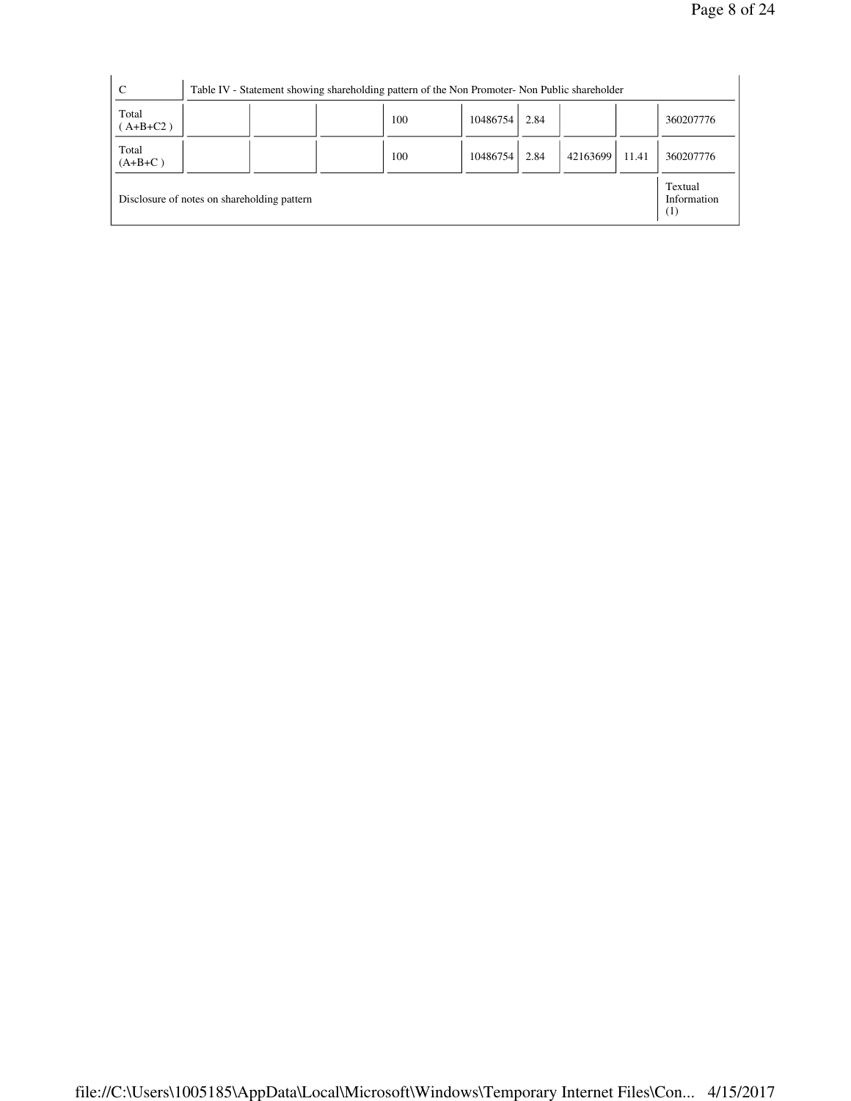|                                               | 360207776                      |
|-----------------------------------------------|--------------------------------|
| Total<br>100<br>10486754<br>2.84<br>$(A+B+C)$ | 42163699<br>360207776<br>11.41 |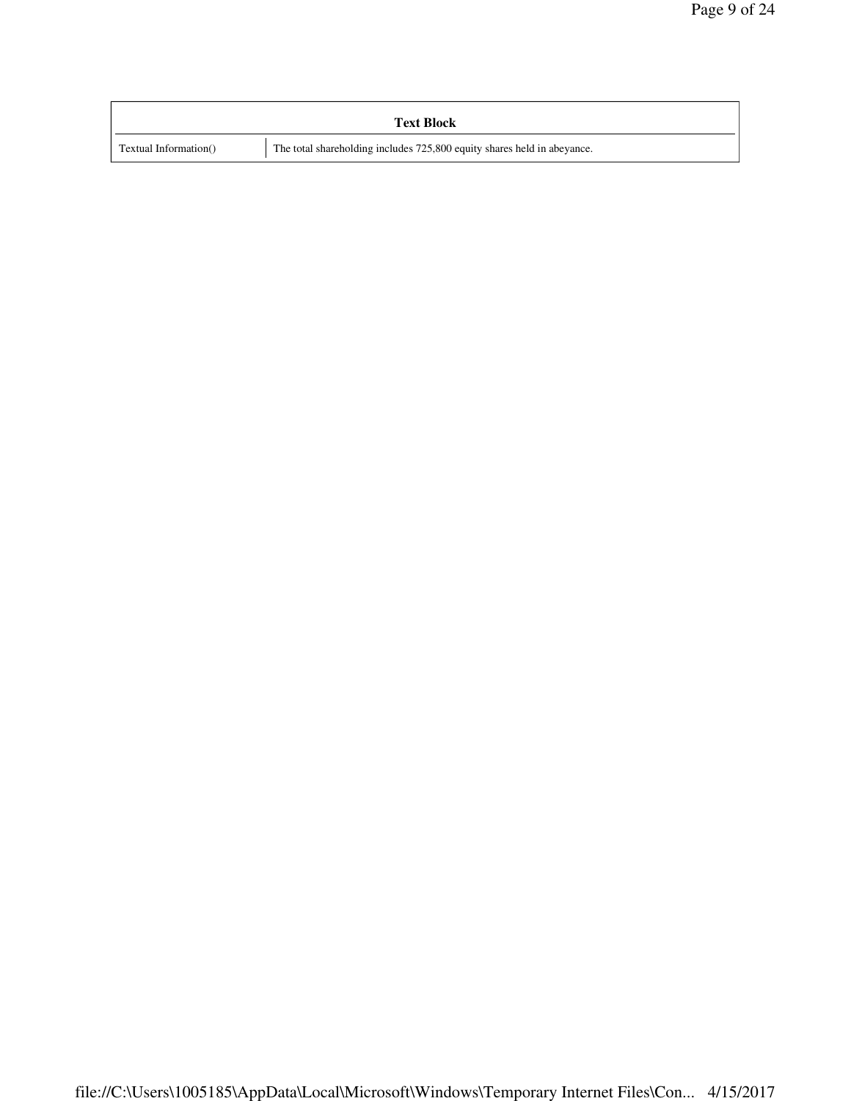|                       | <b>Text Block</b>                                                       |
|-----------------------|-------------------------------------------------------------------------|
| Textual Information() | The total shareholding includes 725,800 equity shares held in abeyance. |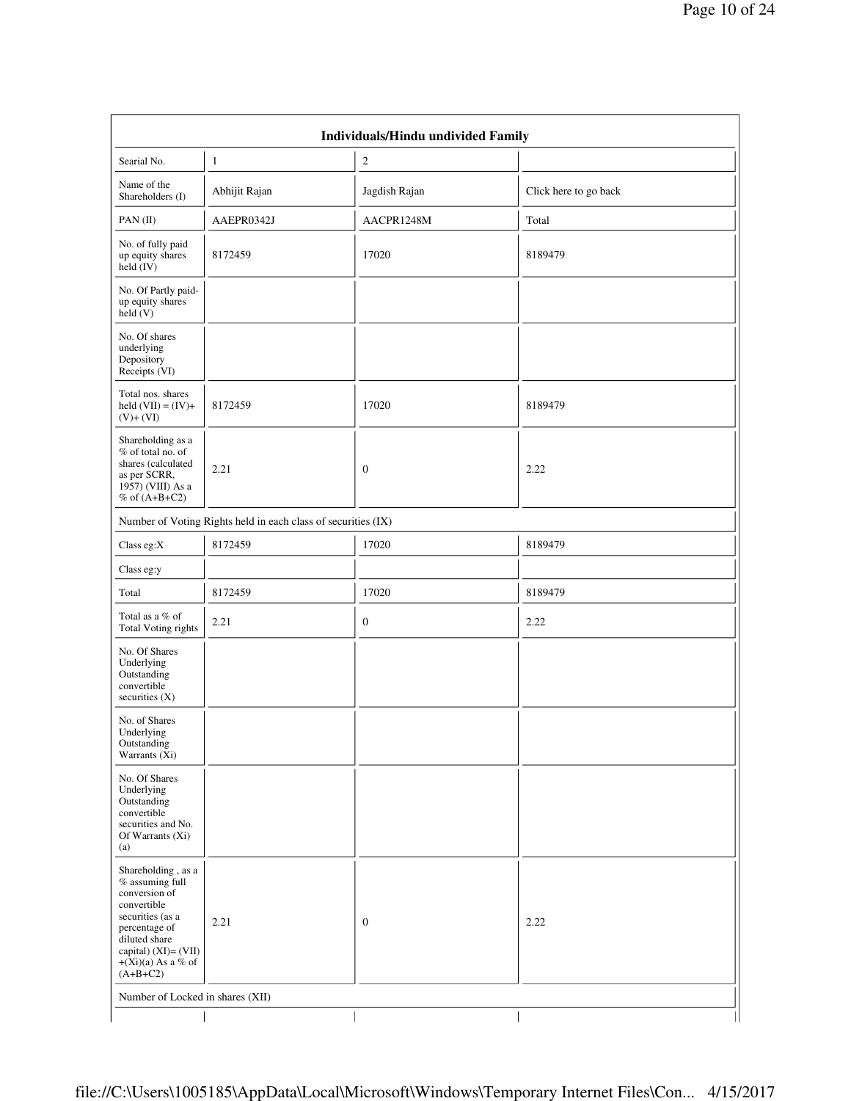|                                                                                                                                                                                             |               | Individuals/Hindu undivided Family |                       |  |  |  |  |
|---------------------------------------------------------------------------------------------------------------------------------------------------------------------------------------------|---------------|------------------------------------|-----------------------|--|--|--|--|
| Searial No.                                                                                                                                                                                 | $\mathbf{1}$  | $\overline{c}$                     |                       |  |  |  |  |
| Name of the<br>Shareholders (I)                                                                                                                                                             | Abhijit Rajan | Jagdish Rajan                      | Click here to go back |  |  |  |  |
| PAN(II)                                                                                                                                                                                     | AAEPR0342J    | AACPR1248M                         | Total                 |  |  |  |  |
| No. of fully paid<br>up equity shares<br>held $(IV)$                                                                                                                                        | 8172459       | 17020                              | 8189479               |  |  |  |  |
| No. Of Partly paid-<br>up equity shares<br>held(V)                                                                                                                                          |               |                                    |                       |  |  |  |  |
| No. Of shares<br>underlying<br>Depository<br>Receipts (VI)                                                                                                                                  |               |                                    |                       |  |  |  |  |
| Total nos. shares<br>held $(VII) = (IV) +$<br>$(V)+(VI)$                                                                                                                                    | 8172459       | 17020                              | 8189479               |  |  |  |  |
| Shareholding as a<br>% of total no. of<br>shares (calculated<br>as per SCRR,<br>1957) (VIII) As a<br>$%$ of $(A+B+C2)$                                                                      | 2.21          | $\mathbf{0}$                       | 2.22                  |  |  |  |  |
| Number of Voting Rights held in each class of securities (IX)                                                                                                                               |               |                                    |                       |  |  |  |  |
| Class eg:X                                                                                                                                                                                  | 8172459       | 17020                              | 8189479               |  |  |  |  |
| Class eg:y                                                                                                                                                                                  |               |                                    |                       |  |  |  |  |
| Total                                                                                                                                                                                       | 8172459       | 17020                              | 8189479               |  |  |  |  |
| Total as a % of<br>Total Voting rights                                                                                                                                                      | 2.21          | $\mathbf{0}$                       | 2.22                  |  |  |  |  |
| No. Of Shares<br>Underlying<br>Outstanding<br>convertible<br>securities $(X)$                                                                                                               |               |                                    |                       |  |  |  |  |
| No. of Shares<br>Underlying<br>Outstanding<br>Warrants (Xi)                                                                                                                                 |               |                                    |                       |  |  |  |  |
| No. Of Shares<br>Underlying<br>Outstanding<br>convertible<br>securities and No.<br>Of Warrants (Xi)<br>(a)                                                                                  |               |                                    |                       |  |  |  |  |
| Shareholding, as a<br>$%$ assuming full<br>conversion of<br>convertible<br>securities (as a<br>percentage of<br>diluted share<br>capital) (XI)= (VII)<br>$+(Xi)(a)$ As a % of<br>$(A+B+C2)$ | 2.21          | $\mathbf{0}$                       | 2.22                  |  |  |  |  |
| Number of Locked in shares (XII)                                                                                                                                                            |               |                                    |                       |  |  |  |  |
|                                                                                                                                                                                             |               |                                    |                       |  |  |  |  |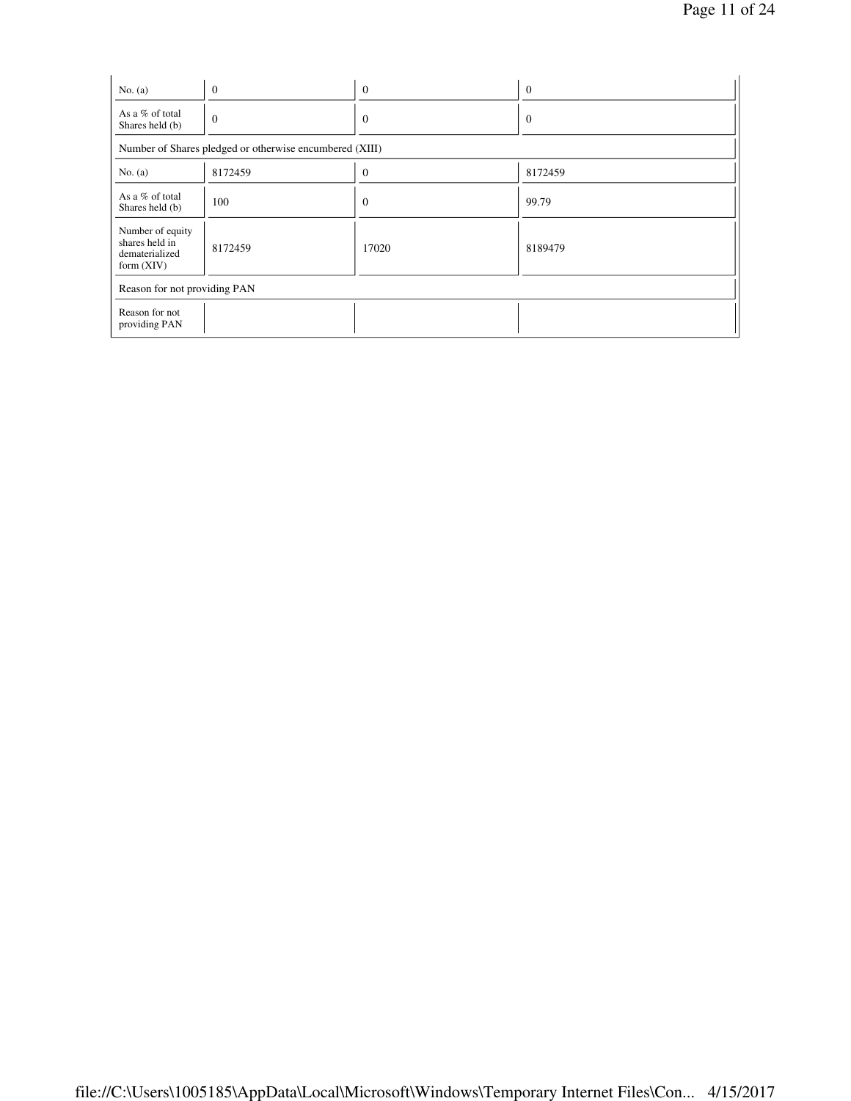| No. $(a)$                                                            | $\theta$                                                | $\theta$     | $\mathbf{0}$ |
|----------------------------------------------------------------------|---------------------------------------------------------|--------------|--------------|
| As a % of total<br>Shares held (b)                                   | $\theta$                                                | $\theta$     | $\theta$     |
|                                                                      | Number of Shares pledged or otherwise encumbered (XIII) |              |              |
| No. $(a)$                                                            | 8172459                                                 | $\mathbf{0}$ | 8172459      |
| As a % of total<br>Shares held (b)                                   | 100                                                     | $\mathbf{0}$ | 99.79        |
| Number of equity<br>shares held in<br>dematerialized<br>form $(XIV)$ | 8172459                                                 | 17020        | 8189479      |
| Reason for not providing PAN                                         |                                                         |              |              |
| Reason for not<br>providing PAN                                      |                                                         |              |              |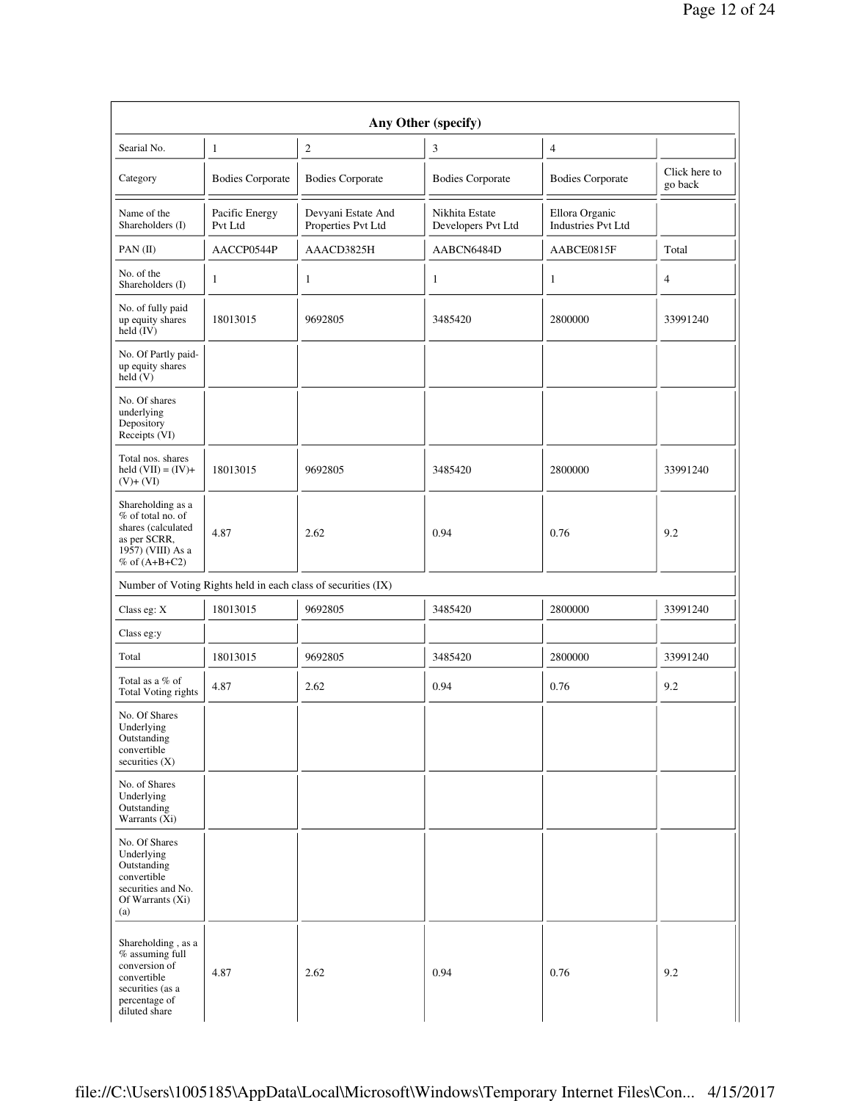|                                                                                                                             |                           | Any Other (specify)                                           |                                      |                                             |                          |
|-----------------------------------------------------------------------------------------------------------------------------|---------------------------|---------------------------------------------------------------|--------------------------------------|---------------------------------------------|--------------------------|
| Searial No.                                                                                                                 | $\mathbf{1}$              | 2                                                             | 3                                    | $\overline{4}$                              |                          |
| Category                                                                                                                    | <b>Bodies Corporate</b>   | <b>Bodies Corporate</b>                                       | <b>Bodies Corporate</b>              | <b>Bodies Corporate</b>                     | Click here to<br>go back |
| Name of the<br>Shareholders (I)                                                                                             | Pacific Energy<br>Pvt Ltd | Devyani Estate And<br>Properties Pvt Ltd                      | Nikhita Estate<br>Developers Pvt Ltd | Ellora Organic<br><b>Industries Pvt Ltd</b> |                          |
| PAN(II)                                                                                                                     | AACCP0544P                | AAACD3825H                                                    | AABCN6484D                           | AABCE0815F                                  | Total                    |
| No. of the<br>Shareholders (I)                                                                                              | 1                         | 1                                                             | $\mathbf{1}$                         | $\mathbf{1}$                                | $\overline{4}$           |
| No. of fully paid<br>up equity shares<br>held (IV)                                                                          | 18013015                  | 9692805                                                       | 3485420                              | 2800000                                     | 33991240                 |
| No. Of Partly paid-<br>up equity shares<br>held (V)                                                                         |                           |                                                               |                                      |                                             |                          |
| No. Of shares<br>underlying<br>Depository<br>Receipts (VI)                                                                  |                           |                                                               |                                      |                                             |                          |
| Total nos. shares<br>held $(VII) = (IV) +$<br>$(V)+(VI)$                                                                    | 18013015                  | 9692805                                                       | 3485420                              | 2800000                                     | 33991240                 |
| Shareholding as a<br>% of total no. of<br>shares (calculated<br>as per SCRR,<br>1957) (VIII) As a<br>% of $(A+B+C2)$        | 4.87                      | 2.62                                                          | 0.94                                 | 0.76                                        | 9.2                      |
|                                                                                                                             |                           | Number of Voting Rights held in each class of securities (IX) |                                      |                                             |                          |
| Class eg: X                                                                                                                 | 18013015                  | 9692805                                                       | 3485420                              | 2800000                                     | 33991240                 |
| Class eg:y                                                                                                                  |                           |                                                               |                                      |                                             |                          |
| Total                                                                                                                       | 18013015                  | 9692805                                                       | 3485420                              | 2800000                                     | 33991240                 |
| Total as a % of<br>Total Voting rights                                                                                      | 4.87                      | 2.62                                                          | 0.94                                 | 0.76                                        | 9.2                      |
| No. Of Shares<br>Underlying<br>Outstanding<br>convertible<br>securities $(X)$                                               |                           |                                                               |                                      |                                             |                          |
| No. of Shares<br>Underlying<br>Outstanding<br>Warrants (Xi)                                                                 |                           |                                                               |                                      |                                             |                          |
| No. Of Shares<br>Underlying<br>Outstanding<br>convertible<br>securities and No.<br>Of Warrants (Xi)<br>(a)                  |                           |                                                               |                                      |                                             |                          |
| Shareholding, as a<br>% assuming full<br>conversion of<br>convertible<br>securities (as a<br>percentage of<br>diluted share | 4.87                      | 2.62                                                          | 0.94                                 | 0.76                                        | 9.2                      |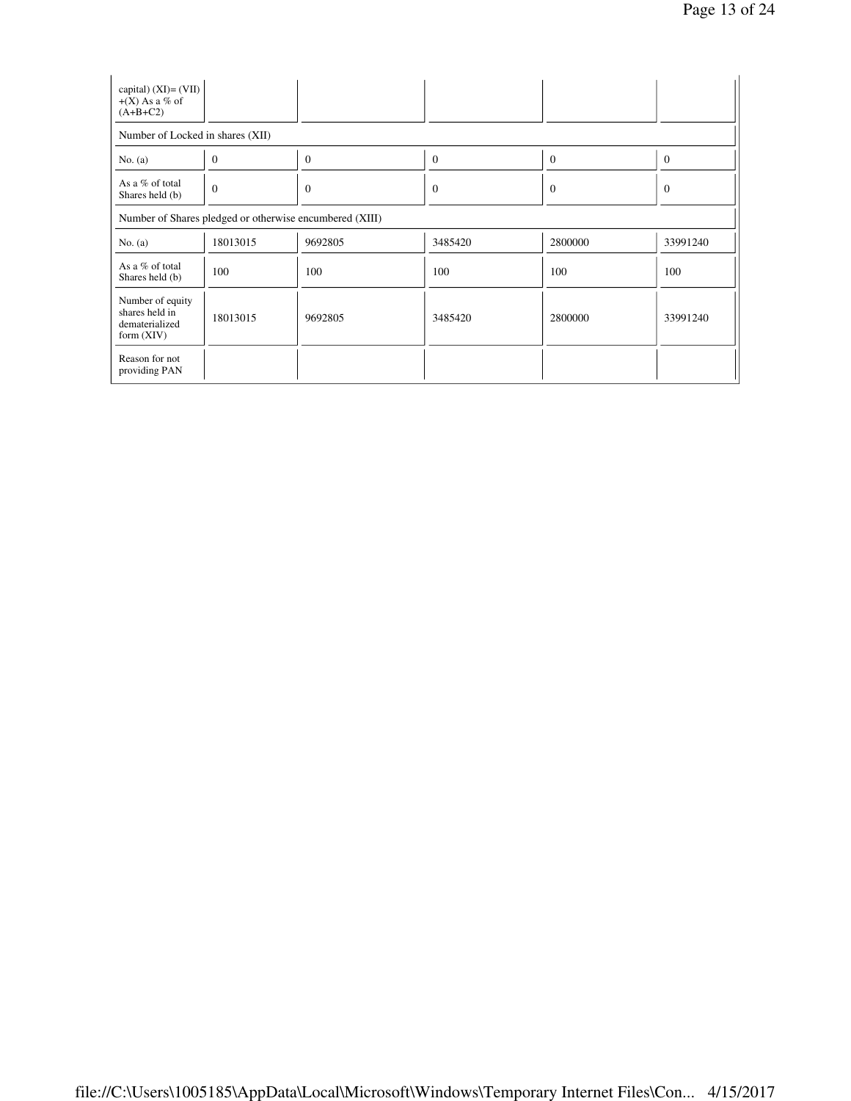| capital) $(XI) = (VII)$<br>$+(X)$ As a % of<br>$(A+B+C2)$            |                                                         |              |          |          |                |  |  |
|----------------------------------------------------------------------|---------------------------------------------------------|--------------|----------|----------|----------------|--|--|
| Number of Locked in shares (XII)                                     |                                                         |              |          |          |                |  |  |
| No. $(a)$                                                            | $\theta$                                                | $\mathbf{0}$ | $\theta$ | $\theta$ | $\mathbf{0}$   |  |  |
| As a % of total<br>Shares held (b)                                   | $\theta$                                                | $\theta$     | $\theta$ | $\theta$ | $\overline{0}$ |  |  |
|                                                                      | Number of Shares pledged or otherwise encumbered (XIII) |              |          |          |                |  |  |
| No. $(a)$                                                            | 18013015                                                | 9692805      | 3485420  | 2800000  | 33991240       |  |  |
| As a % of total<br>Shares held (b)                                   | 100                                                     | 100          | 100      | 100      | 100            |  |  |
| Number of equity<br>shares held in<br>dematerialized<br>form $(XIV)$ | 18013015                                                | 9692805      | 3485420  | 2800000  | 33991240       |  |  |
| Reason for not<br>providing PAN                                      |                                                         |              |          |          |                |  |  |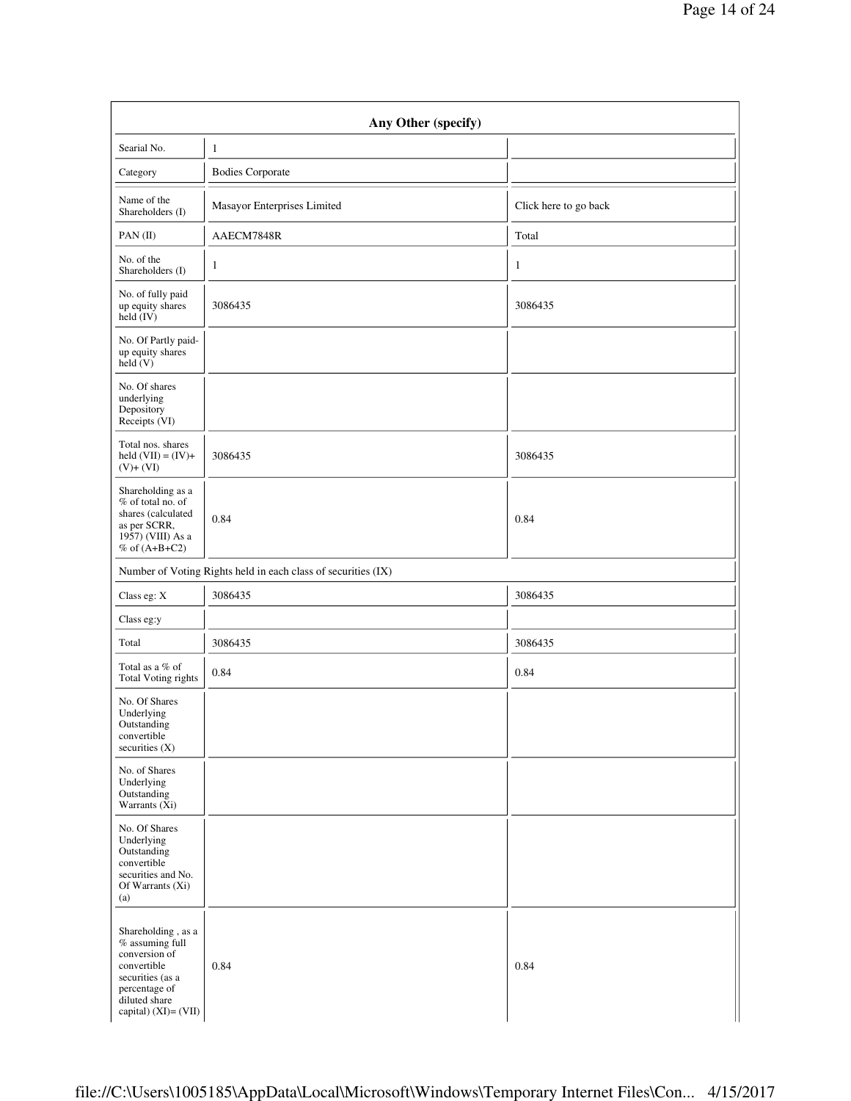| Any Other (specify)                                                                                                                                   |                                                               |                       |  |  |  |  |
|-------------------------------------------------------------------------------------------------------------------------------------------------------|---------------------------------------------------------------|-----------------------|--|--|--|--|
| Searial No.                                                                                                                                           | $\mathbf{1}$                                                  |                       |  |  |  |  |
| Category                                                                                                                                              | <b>Bodies Corporate</b>                                       |                       |  |  |  |  |
| Name of the<br>Shareholders (I)                                                                                                                       | Masayor Enterprises Limited                                   | Click here to go back |  |  |  |  |
| $PAN$ (II)                                                                                                                                            | AAECM7848R                                                    | Total                 |  |  |  |  |
| No. of the<br>Shareholders (I)                                                                                                                        | 1                                                             | 1                     |  |  |  |  |
| No. of fully paid<br>up equity shares<br>held (IV)                                                                                                    | 3086435                                                       | 3086435               |  |  |  |  |
| No. Of Partly paid-<br>up equity shares<br>held(V)                                                                                                    |                                                               |                       |  |  |  |  |
| No. Of shares<br>underlying<br>Depository<br>Receipts (VI)                                                                                            |                                                               |                       |  |  |  |  |
| Total nos. shares<br>held $(VII) = (IV) +$<br>$(V)+(VI)$                                                                                              | 3086435                                                       | 3086435               |  |  |  |  |
| Shareholding as a<br>% of total no. of<br>shares (calculated<br>as per SCRR,<br>1957) (VIII) As a<br>% of $(A+B+C2)$                                  | 0.84                                                          | 0.84                  |  |  |  |  |
|                                                                                                                                                       | Number of Voting Rights held in each class of securities (IX) |                       |  |  |  |  |
| Class eg: X                                                                                                                                           | 3086435                                                       | 3086435               |  |  |  |  |
| Class eg:y                                                                                                                                            |                                                               |                       |  |  |  |  |
| Total                                                                                                                                                 | 3086435                                                       | 3086435               |  |  |  |  |
| Total as a % of<br>Total Voting rights                                                                                                                | 0.84                                                          | 0.84                  |  |  |  |  |
| No. Of Shares<br>Underlying<br>Outstanding<br>convertible<br>securities $(X)$                                                                         |                                                               |                       |  |  |  |  |
| No. of Shares<br>Underlying<br>Outstanding<br>Warrants (Xi)                                                                                           |                                                               |                       |  |  |  |  |
| No. Of Shares<br>Underlying<br>Outstanding<br>convertible<br>securities and No.<br>Of Warrants (Xi)<br>(a)                                            |                                                               |                       |  |  |  |  |
| Shareholding, as a<br>$%$ assuming full<br>conversion of<br>convertible<br>securities (as a<br>percentage of<br>diluted share<br>capital) (XI)= (VII) | 0.84                                                          | 0.84                  |  |  |  |  |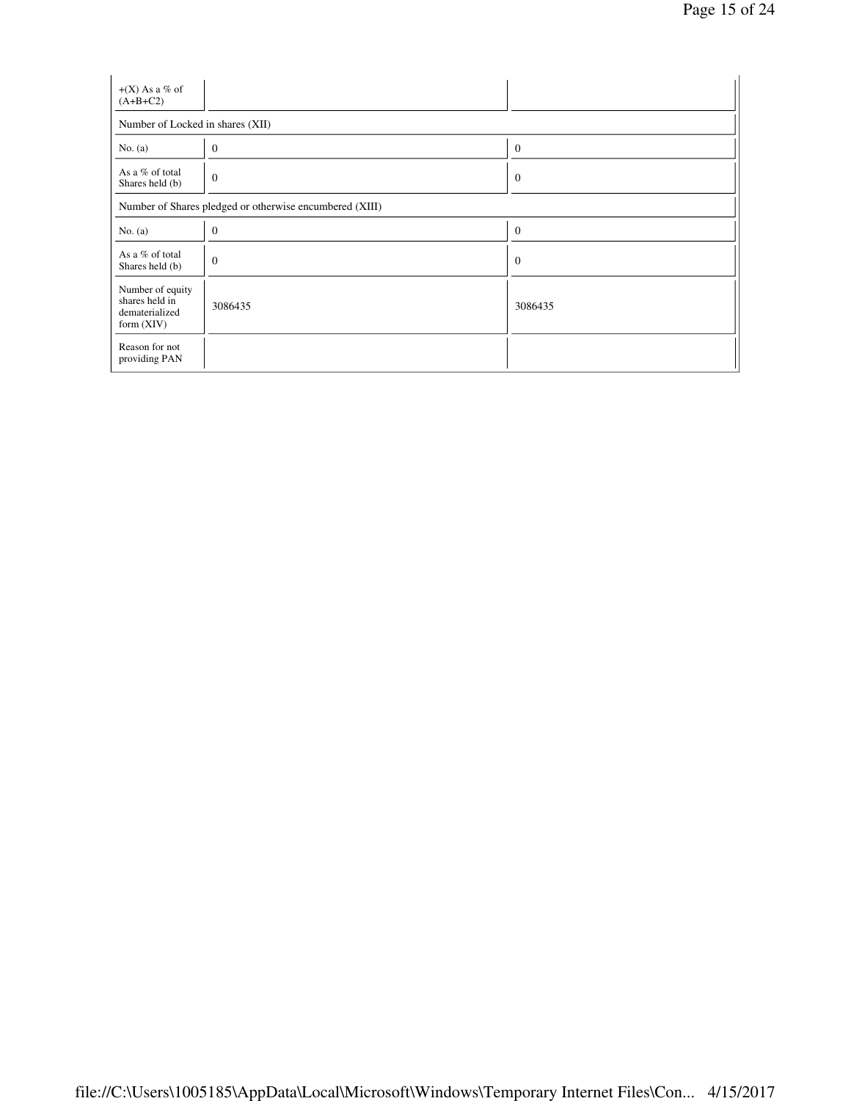| $+(X)$ As a % of<br>$(A+B+C2)$                                       |                                                         |              |  |  |  |  |  |
|----------------------------------------------------------------------|---------------------------------------------------------|--------------|--|--|--|--|--|
| Number of Locked in shares (XII)                                     |                                                         |              |  |  |  |  |  |
| No. $(a)$                                                            | $\boldsymbol{0}$                                        | $\mathbf{0}$ |  |  |  |  |  |
| As a % of total<br>Shares held (b)                                   | $\boldsymbol{0}$                                        | $\mathbf{0}$ |  |  |  |  |  |
|                                                                      | Number of Shares pledged or otherwise encumbered (XIII) |              |  |  |  |  |  |
| No. $(a)$                                                            | $\mathbf{0}$                                            | $\mathbf{0}$ |  |  |  |  |  |
| As a % of total<br>Shares held (b)                                   | $\boldsymbol{0}$                                        | $\mathbf{0}$ |  |  |  |  |  |
| Number of equity<br>shares held in<br>dematerialized<br>form $(XIV)$ | 3086435                                                 | 3086435      |  |  |  |  |  |
| Reason for not<br>providing PAN                                      |                                                         |              |  |  |  |  |  |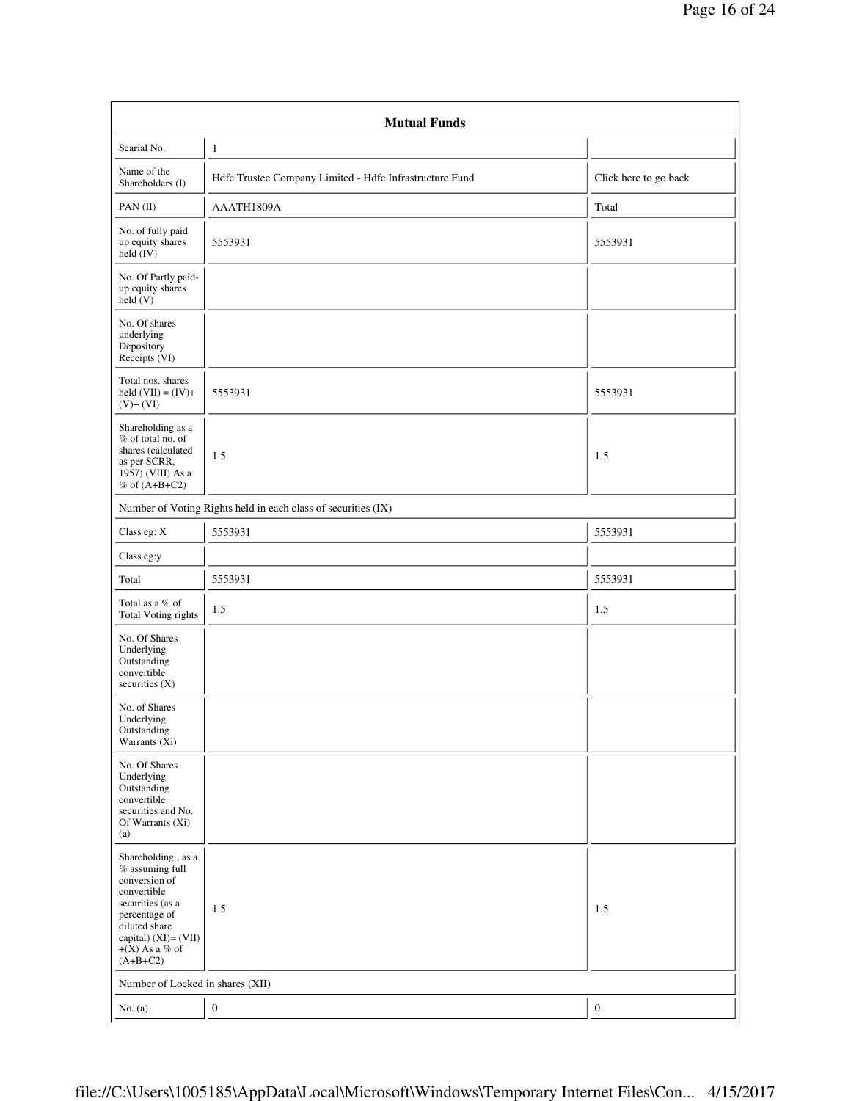| <b>Mutual Funds</b>                                                                                                                                                                        |                                                               |                       |  |  |  |  |
|--------------------------------------------------------------------------------------------------------------------------------------------------------------------------------------------|---------------------------------------------------------------|-----------------------|--|--|--|--|
| Searial No.                                                                                                                                                                                | $\mathbf{1}$                                                  |                       |  |  |  |  |
| Name of the<br>Shareholders (I)                                                                                                                                                            | Hdfc Trustee Company Limited - Hdfc Infrastructure Fund       | Click here to go back |  |  |  |  |
| PAN $(II)$                                                                                                                                                                                 | AAATH1809A                                                    | Total                 |  |  |  |  |
| No. of fully paid<br>up equity shares<br>held (IV)                                                                                                                                         | 5553931                                                       | 5553931               |  |  |  |  |
| No. Of Partly paid-<br>up equity shares<br>held(V)                                                                                                                                         |                                                               |                       |  |  |  |  |
| No. Of shares<br>underlying<br>Depository<br>Receipts (VI)                                                                                                                                 |                                                               |                       |  |  |  |  |
| Total nos. shares<br>held $(VII) = (IV) +$<br>$(V)+(VI)$                                                                                                                                   | 5553931                                                       | 5553931               |  |  |  |  |
| Shareholding as a<br>% of total no. of<br>shares (calculated<br>as per SCRR,<br>1957) (VIII) As a<br>$%$ of $(A+B+C2)$                                                                     | 1.5                                                           | 1.5                   |  |  |  |  |
|                                                                                                                                                                                            | Number of Voting Rights held in each class of securities (IX) |                       |  |  |  |  |
| Class eg: X                                                                                                                                                                                | 5553931                                                       | 5553931               |  |  |  |  |
| Class eg:y                                                                                                                                                                                 |                                                               |                       |  |  |  |  |
| Total                                                                                                                                                                                      | 5553931                                                       | 5553931               |  |  |  |  |
| Total as a % of<br>Total Voting rights                                                                                                                                                     | 1.5                                                           | 1.5                   |  |  |  |  |
| No. Of Shares<br>Underlying<br>Outstanding<br>convertible<br>securities $(X)$                                                                                                              |                                                               |                       |  |  |  |  |
| No. of Shares<br>Underlying<br>Outstanding<br>Warrants (Xi)                                                                                                                                |                                                               |                       |  |  |  |  |
| No. Of Shares<br>Underlying<br>Outstanding<br>convertible<br>securities and No.<br>Of Warrants (Xi)<br>(a)                                                                                 |                                                               |                       |  |  |  |  |
| Shareholding, as a<br>$%$ assuming full<br>conversion of<br>convertible<br>securities (as a<br>percentage of<br>diluted share<br>capital) $(XI) = (VII)$<br>$+(X)$ As a % of<br>$(A+B+C2)$ | 1.5                                                           | 1.5                   |  |  |  |  |
| Number of Locked in shares (XII)                                                                                                                                                           |                                                               |                       |  |  |  |  |
| No. $(a)$                                                                                                                                                                                  | $\boldsymbol{0}$                                              | $\boldsymbol{0}$      |  |  |  |  |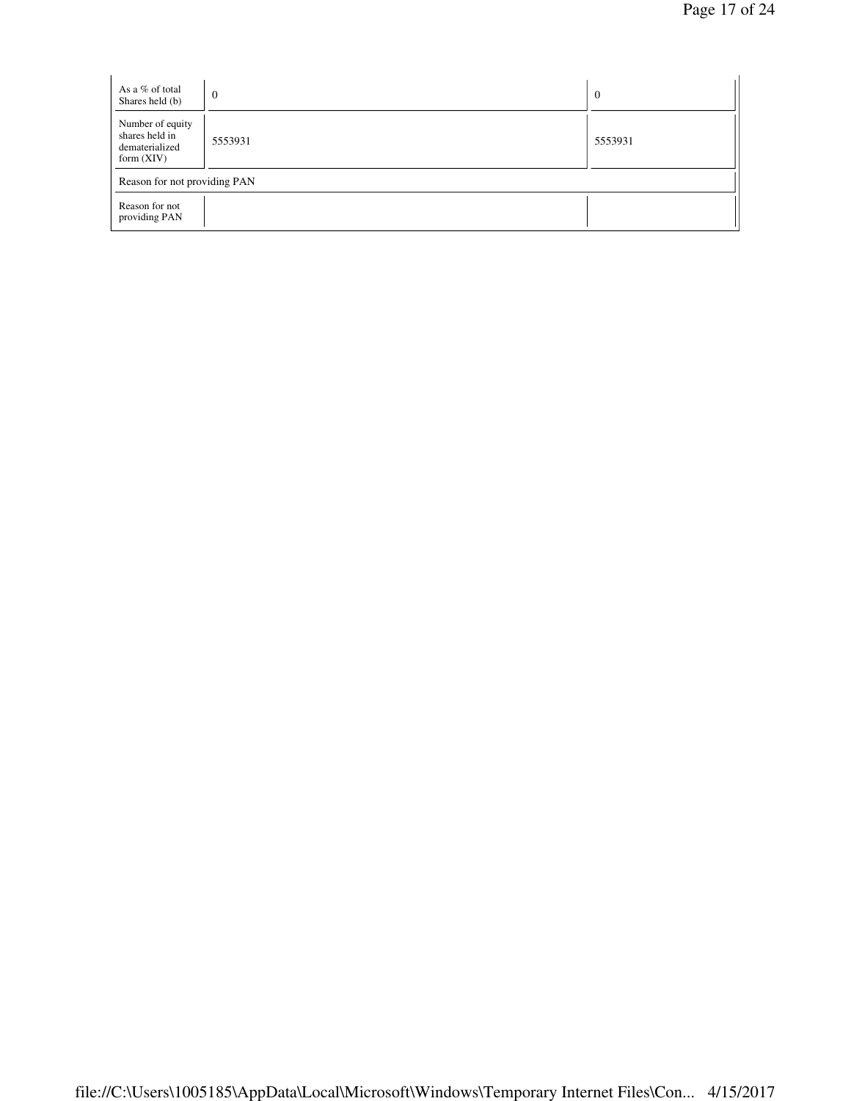| As a % of total<br>Shares held (b)                                   | $\mathbf{0}$ | $\overline{0}$ |
|----------------------------------------------------------------------|--------------|----------------|
| Number of equity<br>shares held in<br>dematerialized<br>form $(XIV)$ | 5553931      | 5553931        |
| Reason for not providing PAN                                         |              |                |
| Reason for not<br>providing PAN                                      |              |                |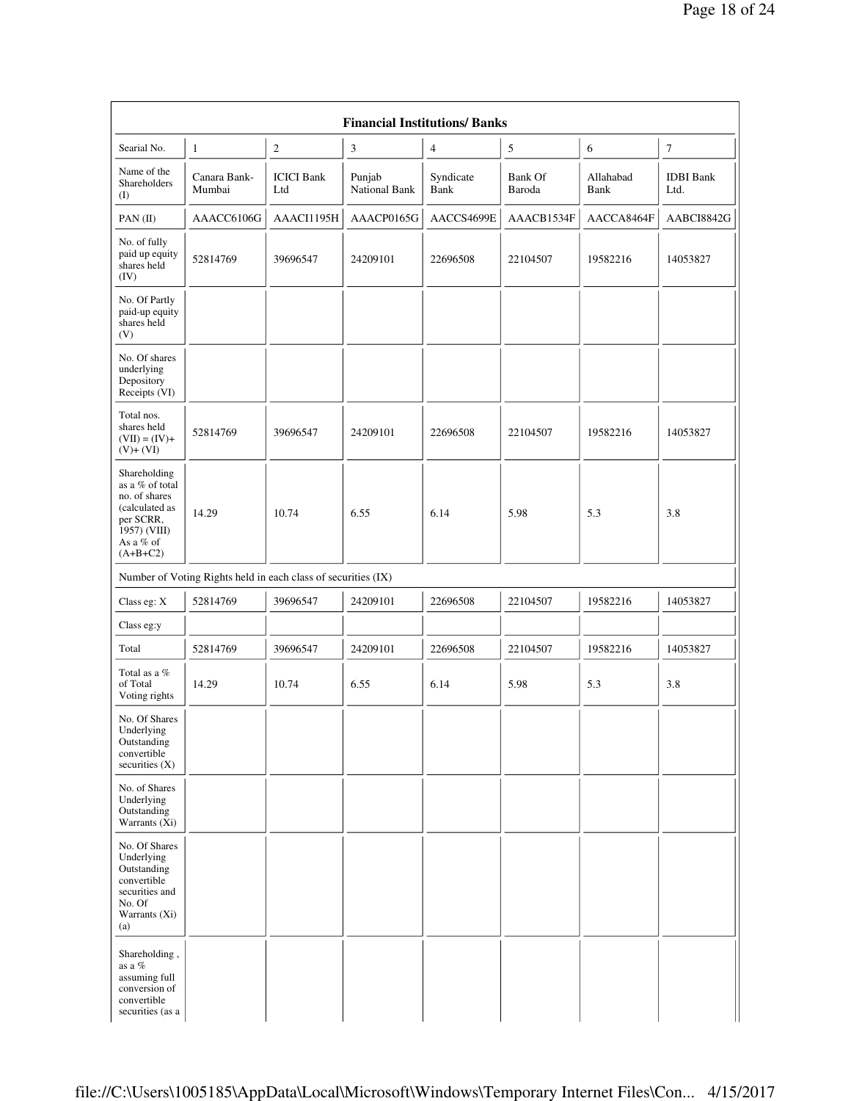| Searial No.                                                                                                                | $\mathbf{1}$                                                  | 2                        | 3                       | $\overline{4}$    | 5                        | 6                 | $\boldsymbol{7}$         |
|----------------------------------------------------------------------------------------------------------------------------|---------------------------------------------------------------|--------------------------|-------------------------|-------------------|--------------------------|-------------------|--------------------------|
| Name of the<br>Shareholders<br>(I)                                                                                         | Canara Bank-<br>Mumbai                                        | <b>ICICI Bank</b><br>Ltd | Punjab<br>National Bank | Syndicate<br>Bank | <b>Bank Of</b><br>Baroda | Allahabad<br>Bank | <b>IDBI</b> Bank<br>Ltd. |
| PAN(II)                                                                                                                    | AAACC6106G                                                    | AAACI1195H               | AAACP0165G              | AACCS4699E        | AAACB1534F               | AACCA8464F        | AABCI8842G               |
| No. of fully<br>paid up equity<br>shares held<br>(IV)                                                                      | 52814769                                                      | 39696547                 | 24209101                | 22696508          | 22104507                 | 19582216          | 14053827                 |
| No. Of Partly<br>paid-up equity<br>shares held<br>(V)                                                                      |                                                               |                          |                         |                   |                          |                   |                          |
| No. Of shares<br>underlying<br>Depository<br>Receipts (VI)                                                                 |                                                               |                          |                         |                   |                          |                   |                          |
| Total nos.<br>shares held<br>$(VII) = (IV) +$<br>$(V)+(VI)$                                                                | 52814769                                                      | 39696547                 | 24209101                | 22696508          | 22104507                 | 19582216          | 14053827                 |
| Shareholding<br>as a % of total<br>no. of shares<br>(calculated as<br>per SCRR,<br>1957) (VIII)<br>As a % of<br>$(A+B+C2)$ | 14.29                                                         | 10.74                    | 6.55                    | 6.14              | 5.98                     | 5.3               | 3.8                      |
|                                                                                                                            | Number of Voting Rights held in each class of securities (IX) |                          |                         |                   |                          |                   |                          |
| Class eg: X                                                                                                                | 52814769                                                      | 39696547                 | 24209101                | 22696508          | 22104507                 | 19582216          | 14053827                 |
| Class eg:y                                                                                                                 |                                                               |                          |                         |                   |                          |                   |                          |
| Total                                                                                                                      | 52814769                                                      | 39696547                 | 24209101                | 22696508          | 22104507                 | 19582216          | 14053827                 |
| Total as a %<br>of Total<br>Voting rights                                                                                  | 14.29                                                         | 10.74                    | 6.55                    | 6.14              | 5.98                     | 5.3               | 3.8                      |
| No. Of Shares<br>Underlying<br>Outstanding<br>convertible<br>securities $(X)$                                              |                                                               |                          |                         |                   |                          |                   |                          |
| No. of Shares<br>Underlying<br>Outstanding<br>Warrants (Xi)                                                                |                                                               |                          |                         |                   |                          |                   |                          |
| No. Of Shares<br>Underlying<br>Outstanding<br>convertible<br>securities and<br>No. Of<br>Warrants (Xi)<br>(a)              |                                                               |                          |                         |                   |                          |                   |                          |
| Shareholding,<br>as a %<br>assuming full<br>conversion of<br>convertible                                                   |                                                               |                          |                         |                   |                          |                   |                          |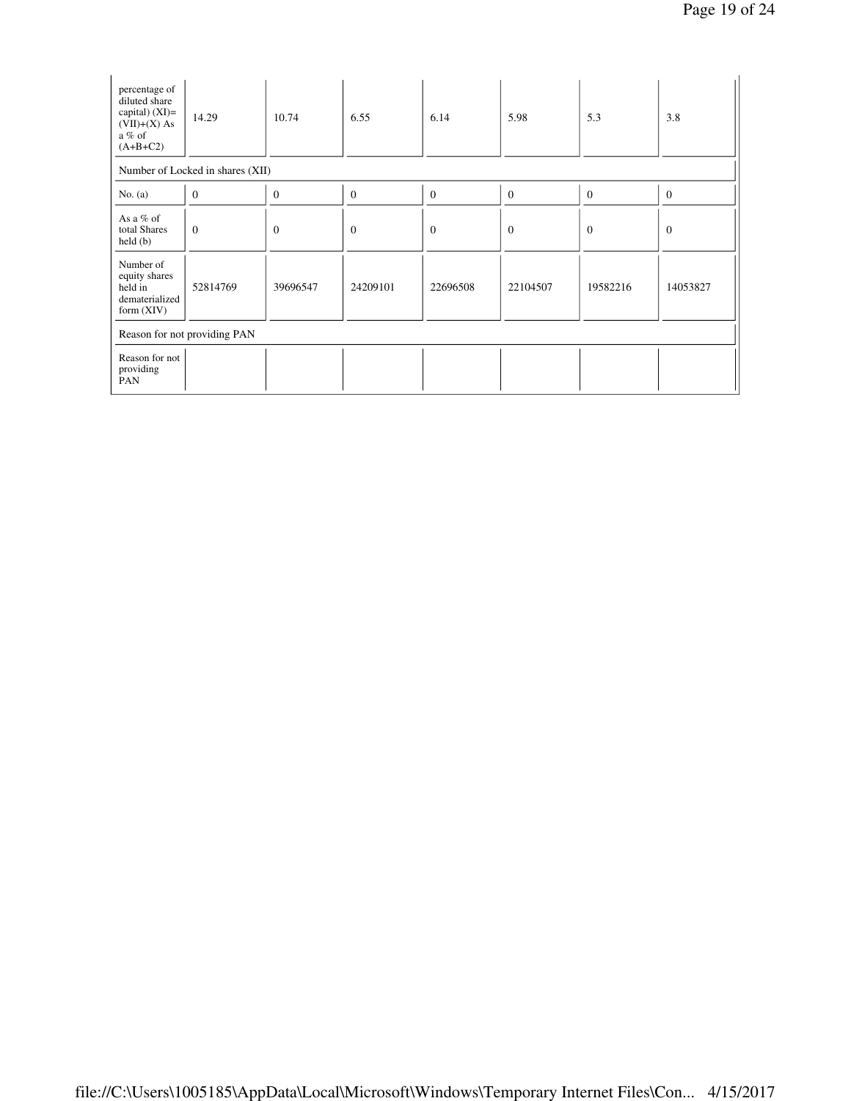| percentage of<br>diluted share<br>capital) $(XI)=$<br>$(VII)+(X)$ As<br>$a\%$ of<br>$(A+B+C2)$ | 14.29                            | 10.74            | 6.55         | 6.14           | 5.98             | 5.3            | 3.8            |
|------------------------------------------------------------------------------------------------|----------------------------------|------------------|--------------|----------------|------------------|----------------|----------------|
|                                                                                                | Number of Locked in shares (XII) |                  |              |                |                  |                |                |
| No. $(a)$                                                                                      | $\boldsymbol{0}$                 | $\boldsymbol{0}$ | $\mathbf{0}$ | $\overline{0}$ | $\boldsymbol{0}$ | $\overline{0}$ | $\overline{0}$ |
| As a $%$ of<br>total Shares<br>held(b)                                                         | $\overline{0}$                   | $\overline{0}$   | $\theta$     | $\overline{0}$ | $\boldsymbol{0}$ | $\overline{0}$ | $\overline{0}$ |
| Number of<br>equity shares<br>held in<br>dematerialized<br>form $(XIV)$                        | 52814769                         | 39696547         | 24209101     | 22696508       | 22104507         | 19582216       | 14053827       |
|                                                                                                | Reason for not providing PAN     |                  |              |                |                  |                |                |
| Reason for not<br>providing<br>PAN                                                             |                                  |                  |              |                |                  |                |                |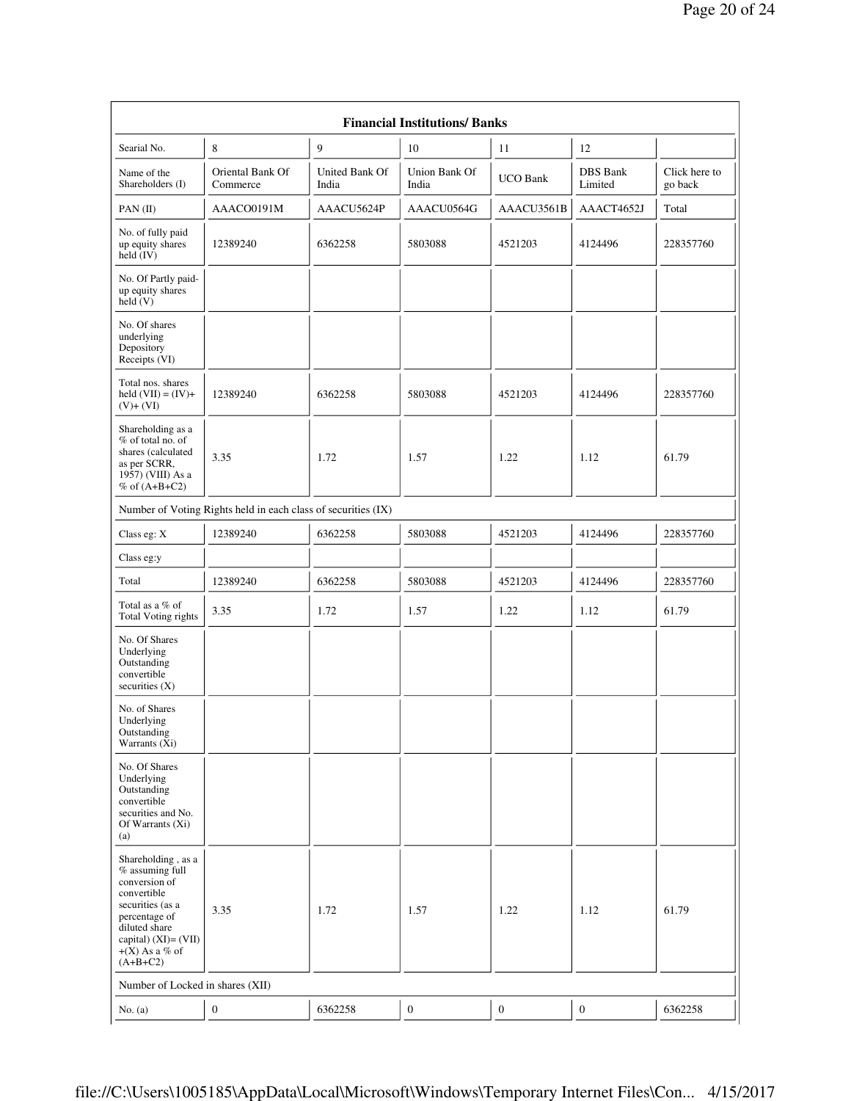| <b>Financial Institutions/Banks</b>                                                                                                                                                        |                                                               |                         |                        |                  |                     |                          |  |  |
|--------------------------------------------------------------------------------------------------------------------------------------------------------------------------------------------|---------------------------------------------------------------|-------------------------|------------------------|------------------|---------------------|--------------------------|--|--|
| Searial No.                                                                                                                                                                                | 8                                                             | 9                       | 10                     | 11               | 12                  |                          |  |  |
| Name of the<br>Shareholders (I)                                                                                                                                                            | Oriental Bank Of<br>Commerce                                  | United Bank Of<br>India | Union Bank Of<br>India | <b>UCO Bank</b>  | DBS Bank<br>Limited | Click here to<br>go back |  |  |
| $PAN$ (II)                                                                                                                                                                                 | AAACO0191M                                                    | AAACU5624P              | AAACU0564G             | AAACU3561B       | AAACT4652J          | Total                    |  |  |
| No. of fully paid<br>up equity shares<br>held (IV)                                                                                                                                         | 12389240                                                      | 6362258                 | 5803088                | 4521203          | 4124496             | 228357760                |  |  |
| No. Of Partly paid-<br>up equity shares<br>held(V)                                                                                                                                         |                                                               |                         |                        |                  |                     |                          |  |  |
| No. Of shares<br>underlying<br>Depository<br>Receipts (VI)                                                                                                                                 |                                                               |                         |                        |                  |                     |                          |  |  |
| Total nos. shares<br>held $(VII) = (IV) +$<br>$(V)+(VI)$                                                                                                                                   | 12389240                                                      | 6362258                 | 5803088                | 4521203          | 4124496             | 228357760                |  |  |
| Shareholding as a<br>$%$ of total no. of<br>shares (calculated<br>as per SCRR,<br>1957) (VIII) As a<br>% of $(A+B+C2)$                                                                     | 3.35                                                          | 1.72                    | 1.57                   | 1.22             | 1.12                | 61.79                    |  |  |
|                                                                                                                                                                                            | Number of Voting Rights held in each class of securities (IX) |                         |                        |                  |                     |                          |  |  |
| Class eg: X                                                                                                                                                                                | 12389240                                                      | 6362258                 | 5803088                | 4521203          | 4124496             | 228357760                |  |  |
| Class eg:y                                                                                                                                                                                 |                                                               |                         |                        |                  |                     |                          |  |  |
| Total                                                                                                                                                                                      | 12389240                                                      | 6362258                 | 5803088                | 4521203          | 4124496             | 228357760                |  |  |
| Total as a % of<br>Total Voting rights                                                                                                                                                     | 3.35                                                          | 1.72                    | 1.57                   | 1.22             | 1.12                | 61.79                    |  |  |
| No. Of Shares<br>Underlying<br>Outstanding<br>convertible<br>securities $(X)$                                                                                                              |                                                               |                         |                        |                  |                     |                          |  |  |
| No. of Shares<br>Underlying<br>Outstanding<br>Warrants (Xi)                                                                                                                                |                                                               |                         |                        |                  |                     |                          |  |  |
| No. Of Shares<br>Underlying<br>Outstanding<br>convertible<br>securities and No.<br>Of Warrants (Xi)<br>(a)                                                                                 |                                                               |                         |                        |                  |                     |                          |  |  |
| Shareholding, as a<br>$%$ assuming full<br>conversion of<br>convertible<br>securities (as a<br>percentage of<br>diluted share<br>capital) $(XI) = (VII)$<br>$+(X)$ As a % of<br>$(A+B+C2)$ | 3.35                                                          | 1.72                    | 1.57                   | 1.22             | 1.12                | 61.79                    |  |  |
| Number of Locked in shares (XII)                                                                                                                                                           |                                                               |                         |                        |                  |                     |                          |  |  |
| No. $(a)$                                                                                                                                                                                  | $\boldsymbol{0}$                                              | 6362258                 | $\boldsymbol{0}$       | $\boldsymbol{0}$ | $\boldsymbol{0}$    | 6362258                  |  |  |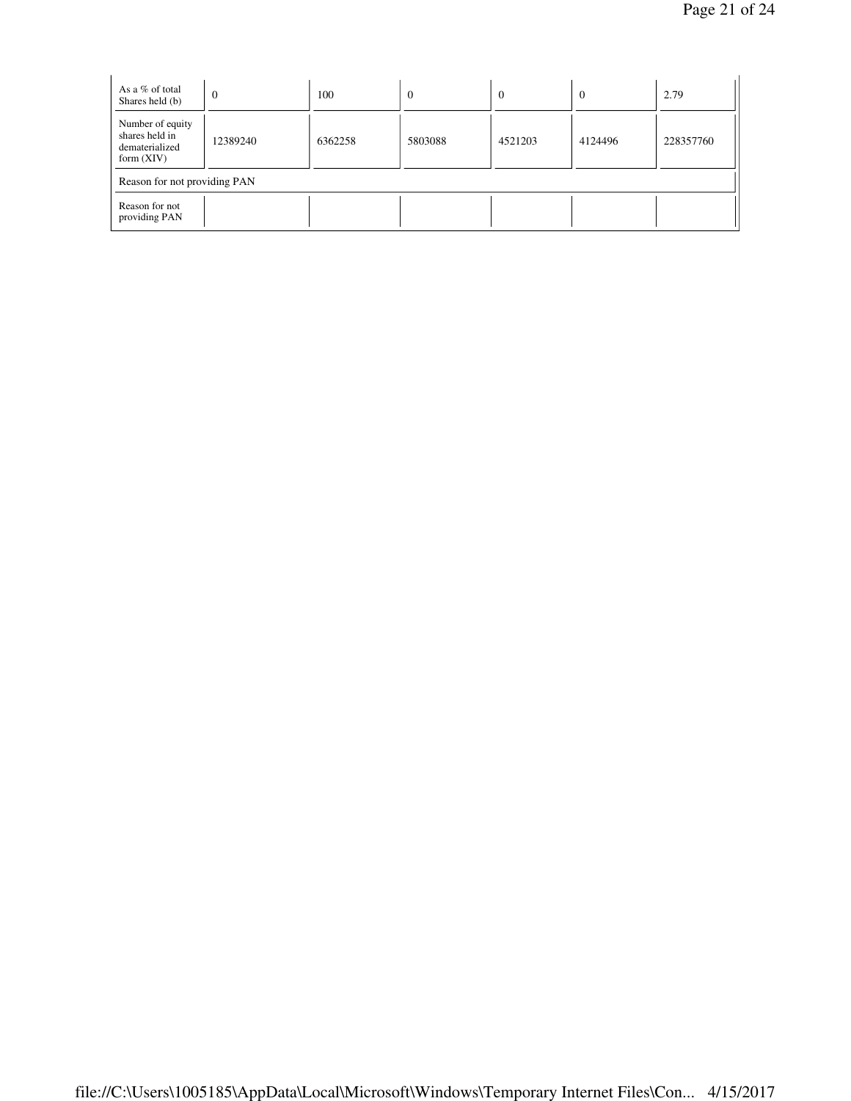| As a $%$ of total<br>Shares held (b)                                 | $\overline{0}$ | 100     | $\theta$ | $\Omega$ | $\overline{0}$ | 2.79      |
|----------------------------------------------------------------------|----------------|---------|----------|----------|----------------|-----------|
| Number of equity<br>shares held in<br>dematerialized<br>form $(XIV)$ | 12389240       | 6362258 | 5803088  | 4521203  | 4124496        | 228357760 |
| Reason for not providing PAN                                         |                |         |          |          |                |           |
| Reason for not<br>providing PAN                                      |                |         |          |          |                |           |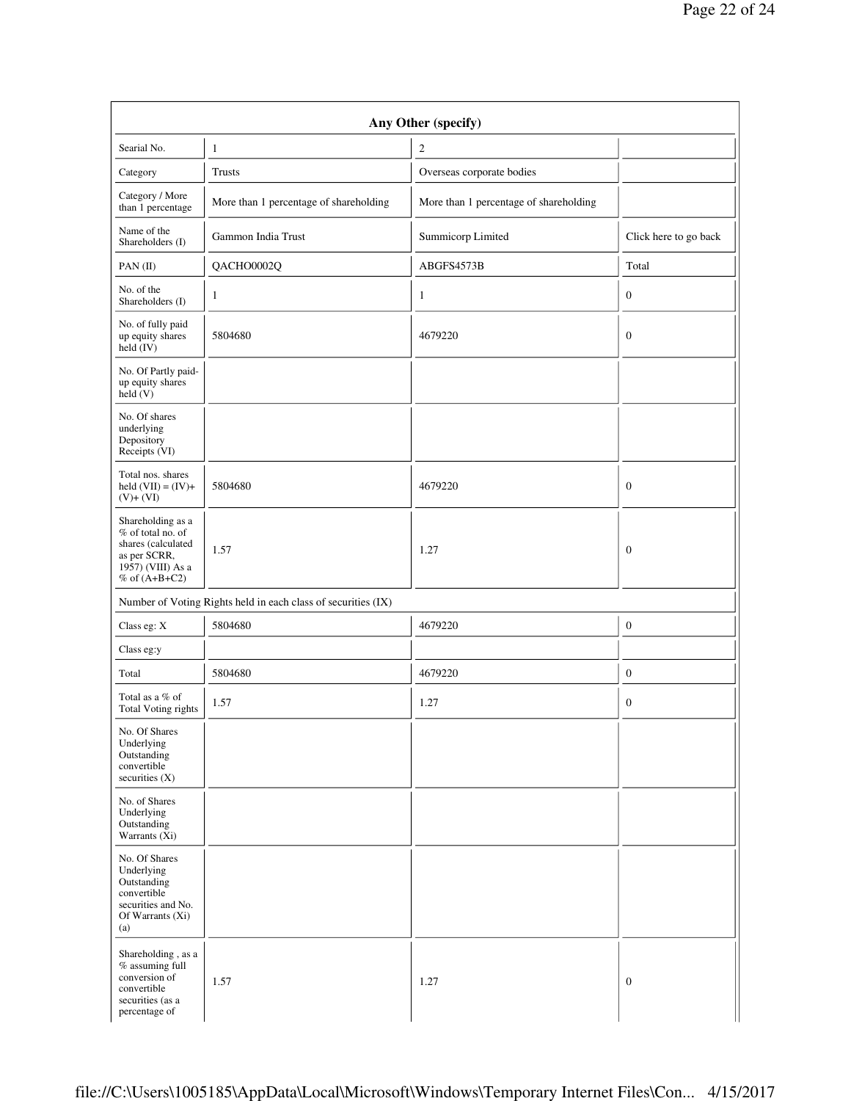| Searial No.                                                                                                            | $\mathbf{1}$                                                  | $\boldsymbol{2}$                       |                       |
|------------------------------------------------------------------------------------------------------------------------|---------------------------------------------------------------|----------------------------------------|-----------------------|
| Category                                                                                                               | <b>Trusts</b>                                                 | Overseas corporate bodies              |                       |
| Category / More<br>than 1 percentage                                                                                   | More than 1 percentage of shareholding                        | More than 1 percentage of shareholding |                       |
| Name of the<br>Shareholders (I)                                                                                        | Gammon India Trust                                            | Summicorp Limited                      | Click here to go back |
| PAN $(II)$                                                                                                             | QACHO0002Q                                                    | ABGFS4573B                             | Total                 |
| No. of the<br>Shareholders (I)                                                                                         | 1                                                             | 1                                      | $\boldsymbol{0}$      |
| No. of fully paid<br>up equity shares<br>$\text{held} (IV)$                                                            | 5804680                                                       | 4679220                                | $\boldsymbol{0}$      |
| No. Of Partly paid-<br>up equity shares<br>held(V)                                                                     |                                                               |                                        |                       |
| No. Of shares<br>underlying<br>Depository<br>Receipts (VI)                                                             |                                                               |                                        |                       |
| Total nos. shares<br>held $(VII) = (IV) +$<br>$(V)+(VI)$                                                               | 5804680                                                       | 4679220                                | $\mathbf{0}$          |
| Shareholding as a<br>% of total no. of<br>shares (calculated<br>as per SCRR,<br>1957) (VIII) As a<br>$%$ of $(A+B+C2)$ | 1.57                                                          | 1.27                                   | $\mathbf{0}$          |
|                                                                                                                        | Number of Voting Rights held in each class of securities (IX) |                                        |                       |
| Class eg: X                                                                                                            | 5804680                                                       | 4679220                                | $\boldsymbol{0}$      |
| Class eg:y                                                                                                             |                                                               |                                        |                       |
| Total                                                                                                                  | 5804680                                                       | 4679220                                | $\boldsymbol{0}$      |
| Total as a % of<br><b>Total Voting rights</b>                                                                          | 1.57                                                          | 1.27                                   | $\boldsymbol{0}$      |
| No. Of Shares<br>Underlying<br>Outstanding<br>convertible<br>securities $(X)$                                          |                                                               |                                        |                       |
| No. of Shares<br>Underlying<br>Outstanding<br>Warrants (Xi)                                                            |                                                               |                                        |                       |
| No. Of Shares<br>Underlying<br>Outstanding<br>convertible<br>securities and No.<br>Of Warrants (Xi)<br>(a)             |                                                               |                                        |                       |
| Shareholding , as a<br>$%$ assuming full<br>conversion of<br>convertible<br>securities (as a                           | 1.57                                                          | 1.27                                   | $\mathbf{0}$          |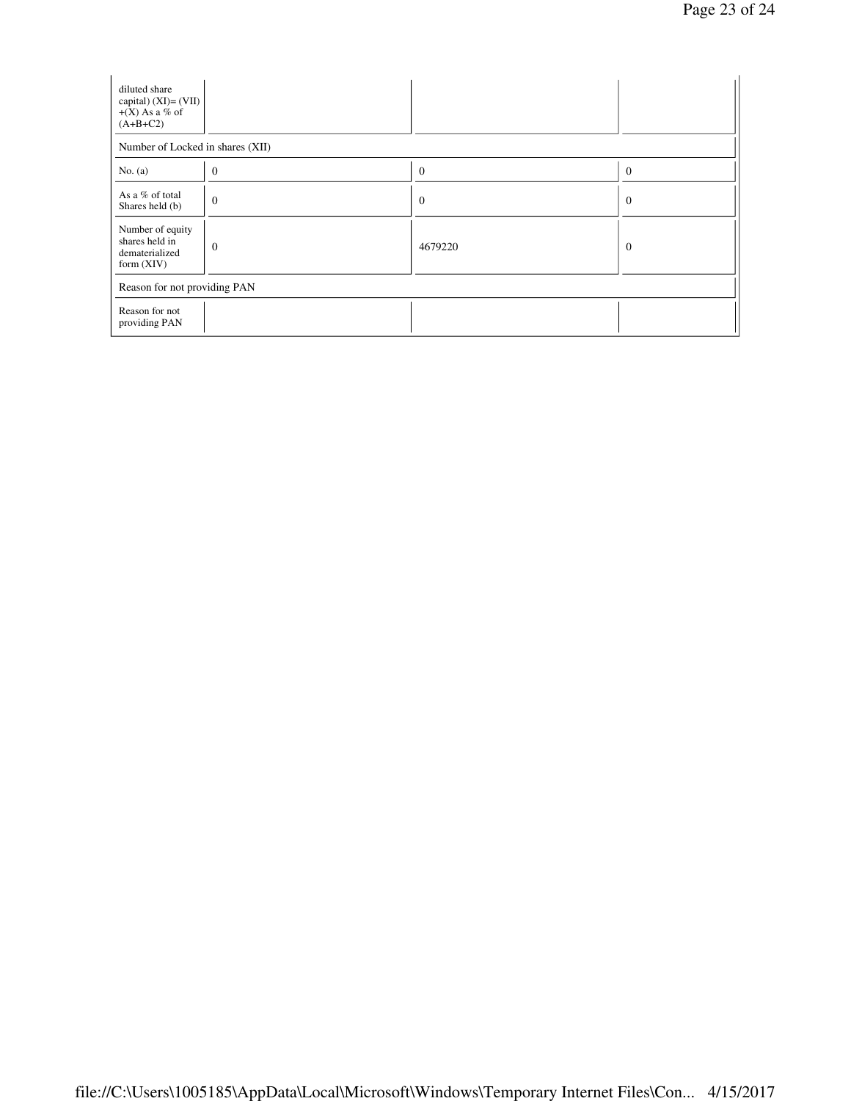| diluted share<br>capital) $(XI) = (VII)$<br>$+(X)$ As a % of<br>$(A+B+C2)$ |                |          |                |
|----------------------------------------------------------------------------|----------------|----------|----------------|
| Number of Locked in shares (XII)                                           |                |          |                |
| No. $(a)$                                                                  | $\theta$       | $\theta$ | $\Omega$       |
| As a % of total<br>Shares held (b)                                         | $\overline{0}$ | $\theta$ | $\overline{0}$ |
| Number of equity<br>shares held in<br>dematerialized<br>form $(XIV)$       | $\mathbf{0}$   | 4679220  | $\mathbf{0}$   |
| Reason for not providing PAN                                               |                |          |                |
| Reason for not<br>providing PAN                                            |                |          |                |